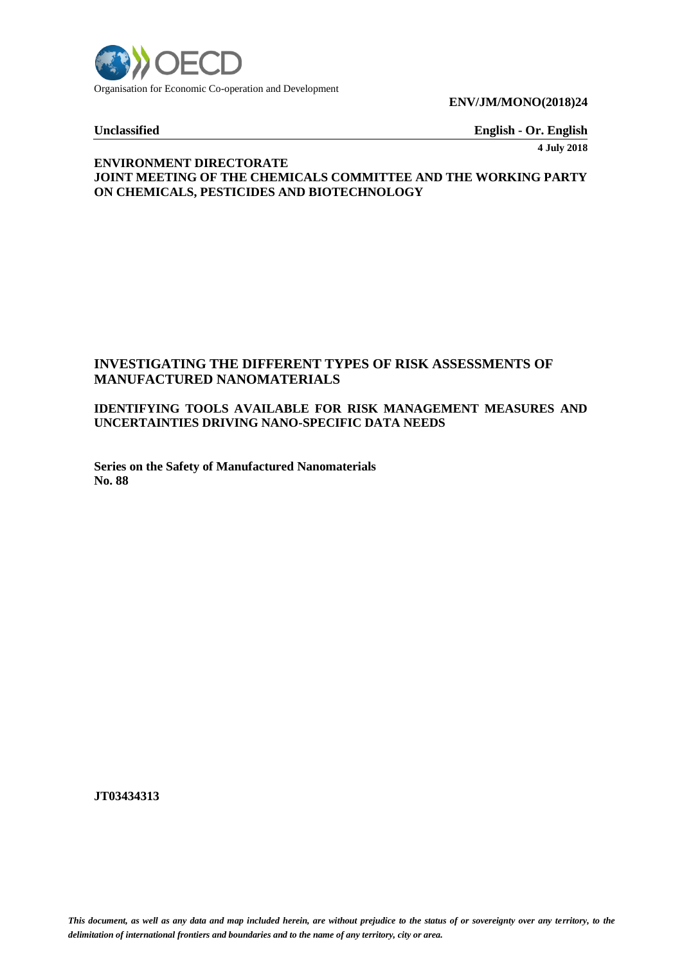

**ENV/JM/MONO(2018)24**

**Unclassified English - Or. English**

**4 July 2018**

#### **ENVIRONMENT DIRECTORATE JOINT MEETING OF THE CHEMICALS COMMITTEE AND THE WORKING PARTY ON CHEMICALS, PESTICIDES AND BIOTECHNOLOGY**

### **INVESTIGATING THE DIFFERENT TYPES OF RISK ASSESSMENTS OF MANUFACTURED NANOMATERIALS**

**IDENTIFYING TOOLS AVAILABLE FOR RISK MANAGEMENT MEASURES AND UNCERTAINTIES DRIVING NANO-SPECIFIC DATA NEEDS**

**Series on the Safety of Manufactured Nanomaterials No. 88**

**JT03434313**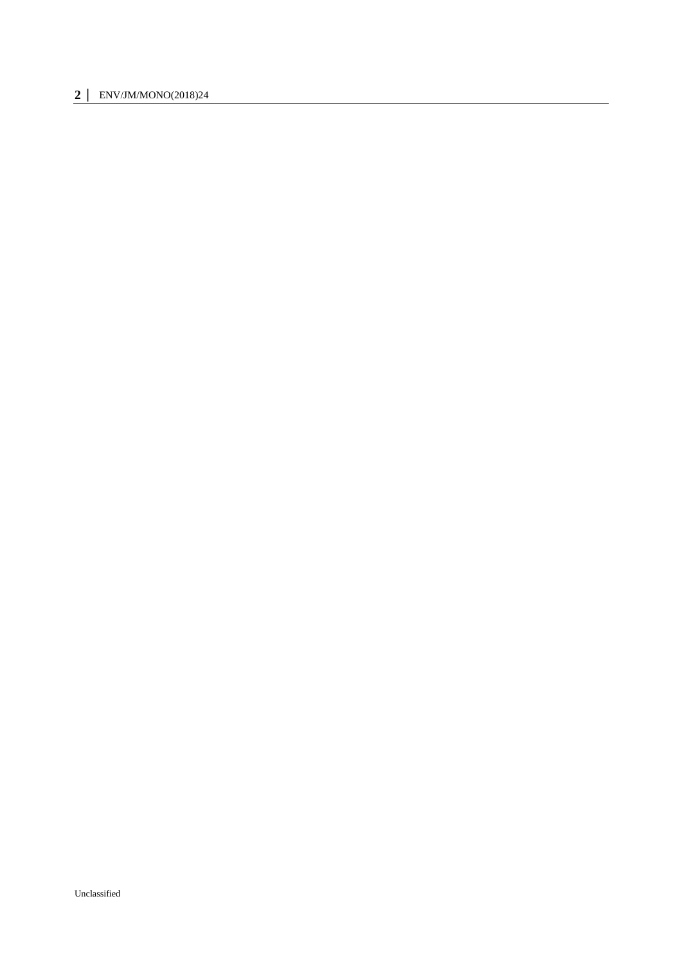#### **2 │** ENV/JM/MONO(2018)24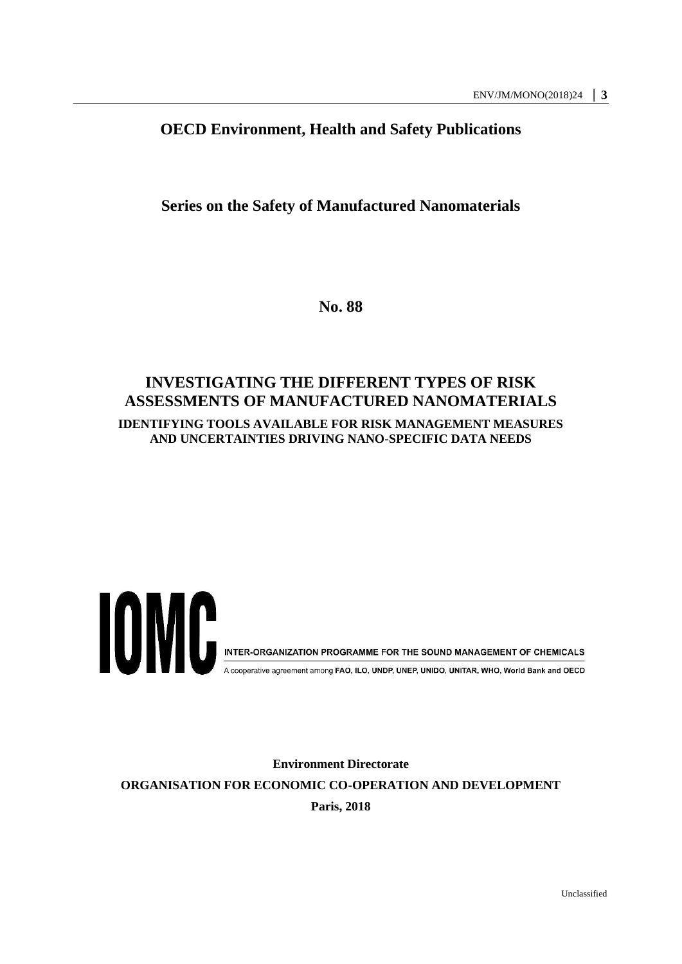# **OECD Environment, Health and Safety Publications**

**Series on the Safety of Manufactured Nanomaterials**

**No. 88**

# **INVESTIGATING THE DIFFERENT TYPES OF RISK ASSESSMENTS OF MANUFACTURED NANOMATERIALS**

**IDENTIFYING TOOLS AVAILABLE FOR RISK MANAGEMENT MEASURES AND UNCERTAINTIES DRIVING NANO-SPECIFIC DATA NEEDS**



A cooperative agreement among FAO, ILO, UNDP, UNEP, UNIDO, UNITAR, WHO, World Bank and OECD

**Environment Directorate ORGANISATION FOR ECONOMIC CO-OPERATION AND DEVELOPMENT Paris, 2018**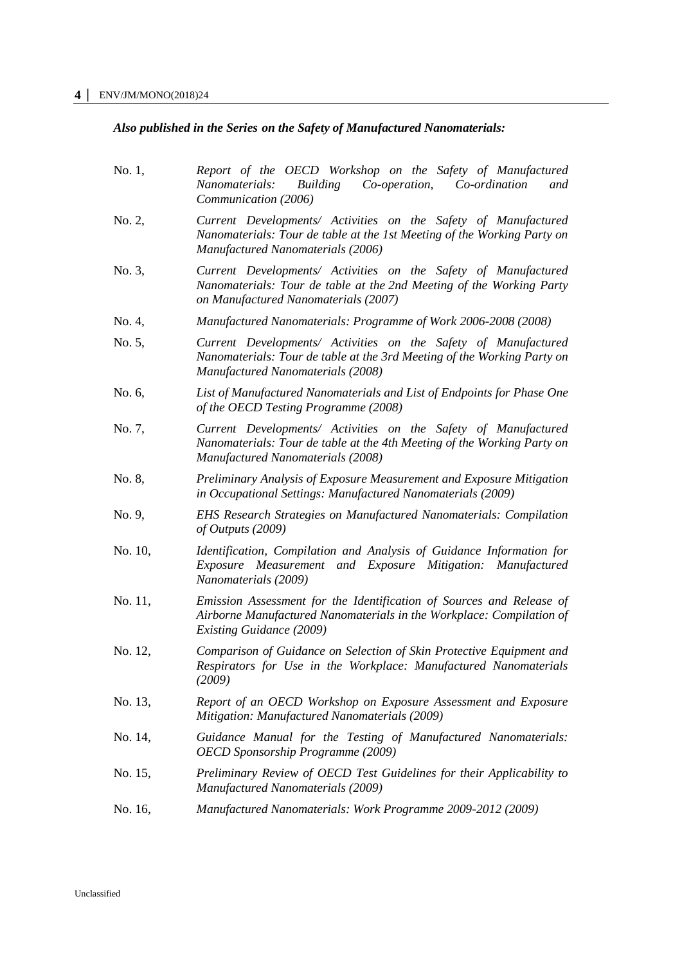#### *Also published in the Series on the Safety of Manufactured Nanomaterials:*

No. 1, *Report of the OECD Workshop on the Safety of Manufactured Nanomaterials: Building Co-operation, Co-ordination and Communication (2006)* No. 2, *Current Developments/ Activities on the Safety of Manufactured Nanomaterials: Tour de table at the 1st Meeting of the Working Party on Manufactured Nanomaterials (2006)* No. 3, *Current Developments/ Activities on the Safety of Manufactured Nanomaterials: Tour de table at the 2nd Meeting of the Working Party on Manufactured Nanomaterials (2007)* No. 4, *Manufactured Nanomaterials: Programme of Work 2006-2008 (2008)* No. 5, *Current Developments/ Activities on the Safety of Manufactured Nanomaterials: Tour de table at the 3rd Meeting of the Working Party on Manufactured Nanomaterials (2008)* No. 6, *List of Manufactured Nanomaterials and List of Endpoints for Phase One of the OECD Testing Programme (2008)* No. 7, *Current Developments/ Activities on the Safety of Manufactured Nanomaterials: Tour de table at the 4th Meeting of the Working Party on Manufactured Nanomaterials (2008)* No. 8, *Preliminary Analysis of Exposure Measurement and Exposure Mitigation in Occupational Settings: Manufactured Nanomaterials (2009)* No. 9, *EHS Research Strategies on Manufactured Nanomaterials: Compilation of Outputs (2009)* No. 10, *Identification, Compilation and Analysis of Guidance Information for Exposure Measurement and Exposure Mitigation: Manufactured Nanomaterials (2009)* No. 11, *Emission Assessment for the Identification of Sources and Release of Airborne Manufactured Nanomaterials in the Workplace: Compilation of Existing Guidance (2009)* No. 12, *Comparison of Guidance on Selection of Skin Protective Equipment and Respirators for Use in the Workplace: Manufactured Nanomaterials (2009)* No. 13, *Report of an OECD Workshop on Exposure Assessment and Exposure Mitigation: Manufactured Nanomaterials (2009)* No. 14, *Guidance Manual for the Testing of Manufactured Nanomaterials: OECD Sponsorship Programme (2009)* No. 15, *Preliminary Review of OECD Test Guidelines for their Applicability to Manufactured Nanomaterials (2009)* No. 16, *Manufactured Nanomaterials: Work Programme 2009-2012 (2009)*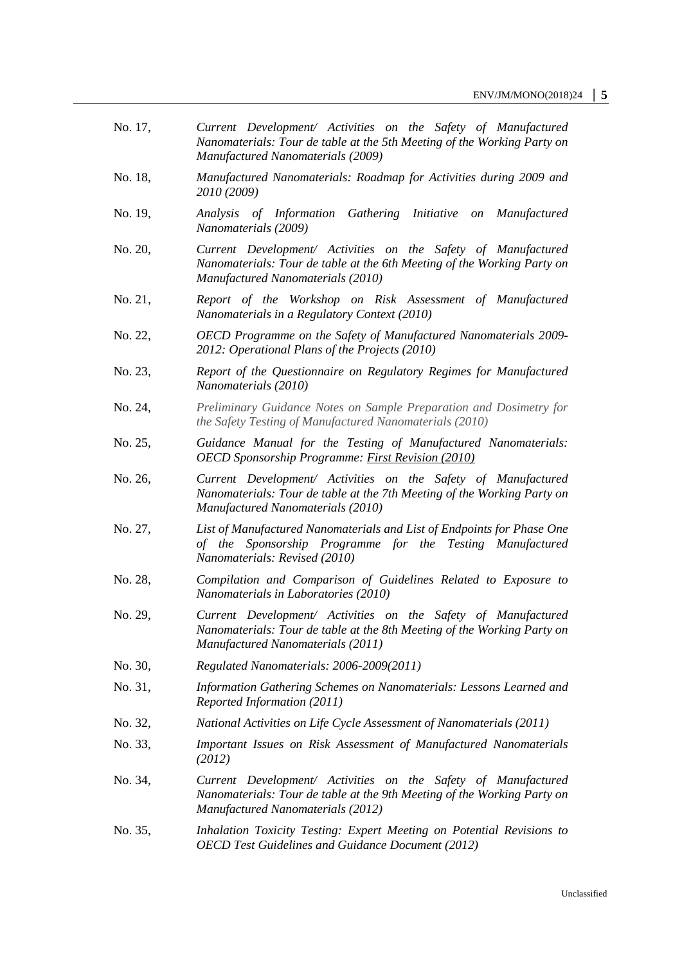- No. 17, *Current Development/ Activities on the Safety of Manufactured Nanomaterials: Tour de table at the 5th Meeting of the Working Party on Manufactured Nanomaterials (2009)*
- No. 18, *Manufactured Nanomaterials: Roadmap for Activities during 2009 and 2010 (2009)*
- No. 19, *Analysis of Information Gathering Initiative on Manufactured Nanomaterials (2009)*
- No. 20, *Current Development/ Activities on the Safety of Manufactured Nanomaterials: Tour de table at the 6th Meeting of the Working Party on Manufactured Nanomaterials (2010)*
- No. 21, *Report of the Workshop on Risk Assessment of Manufactured Nanomaterials in a Regulatory Context (2010)*
- No. 22, *OECD Programme on the Safety of Manufactured Nanomaterials 2009- 2012: Operational Plans of the Projects (2010)*
- No. 23, *Report of the Questionnaire on Regulatory Regimes for Manufactured Nanomaterials (2010)*
- No. 24, *Preliminary Guidance Notes on Sample Preparation and Dosimetry for the Safety Testing of Manufactured Nanomaterials (2010)*
- No. 25, *Guidance Manual for the Testing of Manufactured Nanomaterials: OECD Sponsorship Programme: First Revision (2010)*
- No. 26, *Current Development/ Activities on the Safety of Manufactured Nanomaterials: Tour de table at the 7th Meeting of the Working Party on Manufactured Nanomaterials (2010)*
- No. 27, *List of Manufactured Nanomaterials and List of Endpoints for Phase One of the Sponsorship Programme for the Testing Manufactured Nanomaterials: Revised (2010)*
- No. 28, *Compilation and Comparison of Guidelines Related to Exposure to Nanomaterials in Laboratories (2010)*
- No. 29, *Current Development/ Activities on the Safety of Manufactured Nanomaterials: Tour de table at the 8th Meeting of the Working Party on Manufactured Nanomaterials (2011)*
- No. 30, *Regulated Nanomaterials: 2006-2009(2011)*
- No. 31, *Information Gathering Schemes on Nanomaterials: Lessons Learned and Reported Information (2011)*
- No. 32, *National Activities on Life Cycle Assessment of Nanomaterials (2011)*
- No. 33, *Important Issues on Risk Assessment of Manufactured Nanomaterials (2012)*
- No. 34, *Current Development/ Activities on the Safety of Manufactured Nanomaterials: Tour de table at the 9th Meeting of the Working Party on Manufactured Nanomaterials (2012)*
- No. 35, *Inhalation Toxicity Testing: Expert Meeting on Potential Revisions to OECD Test Guidelines and Guidance Document (2012)*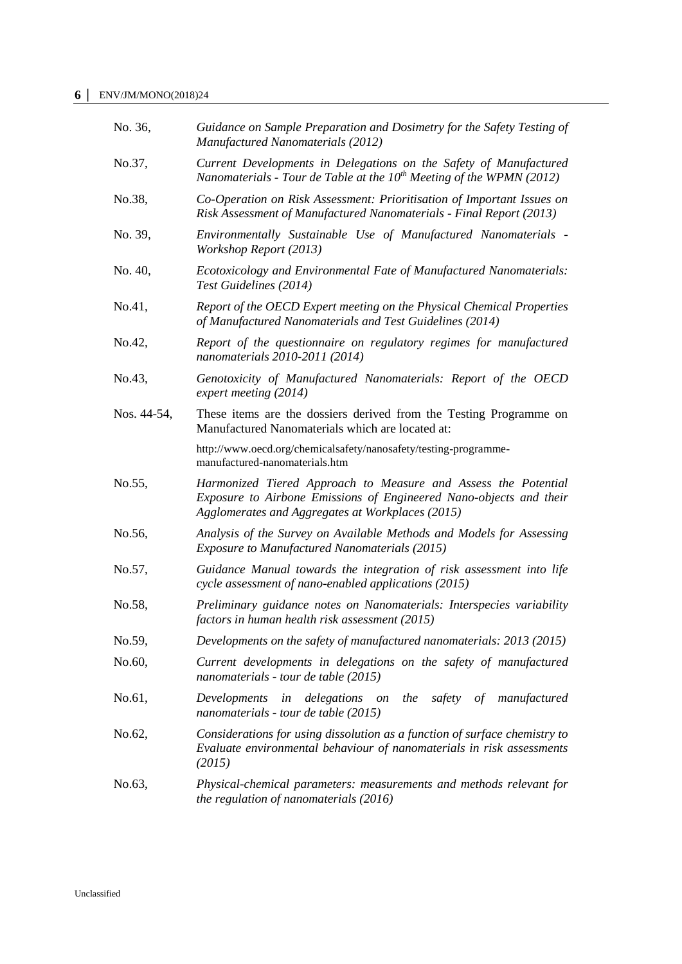#### **6 │** ENV/JM/MONO(2018)24

| No. 36,     | Guidance on Sample Preparation and Dosimetry for the Safety Testing of<br><b>Manufactured Nanomaterials (2012)</b>                                                                       |
|-------------|------------------------------------------------------------------------------------------------------------------------------------------------------------------------------------------|
| No.37,      | Current Developments in Delegations on the Safety of Manufactured<br>Nanomaterials - Tour de Table at the $10^{th}$ Meeting of the WPMN (2012)                                           |
| No.38,      | Co-Operation on Risk Assessment: Prioritisation of Important Issues on<br>Risk Assessment of Manufactured Nanomaterials - Final Report (2013)                                            |
| No. 39,     | Environmentally Sustainable Use of Manufactured Nanomaterials -<br>Workshop Report (2013)                                                                                                |
| No. 40,     | Ecotoxicology and Environmental Fate of Manufactured Nanomaterials:<br>Test Guidelines (2014)                                                                                            |
| No.41,      | Report of the OECD Expert meeting on the Physical Chemical Properties<br>of Manufactured Nanomaterials and Test Guidelines (2014)                                                        |
| No.42,      | Report of the questionnaire on regulatory regimes for manufactured<br>nanomaterials 2010-2011 (2014)                                                                                     |
| No.43,      | Genotoxicity of Manufactured Nanomaterials: Report of the OECD<br>expert meeting (2014)                                                                                                  |
| Nos. 44-54, | These items are the dossiers derived from the Testing Programme on<br>Manufactured Nanomaterials which are located at:                                                                   |
|             | http://www.oecd.org/chemicalsafety/nanosafety/testing-programme-<br>manufactured-nanomaterials.htm                                                                                       |
| No.55,      | Harmonized Tiered Approach to Measure and Assess the Potential<br>Exposure to Airbone Emissions of Engineered Nano-objects and their<br>Agglomerates and Aggregates at Workplaces (2015) |
| No.56,      | Analysis of the Survey on Available Methods and Models for Assessing<br><b>Exposure to Manufactured Nanomaterials (2015)</b>                                                             |
| No.57,      | Guidance Manual towards the integration of risk assessment into life<br>cycle assessment of nano-enabled applications (2015)                                                             |
| No.58,      | Preliminary guidance notes on Nanomaterials: Interspecies variability<br>factors in human health risk assessment (2015)                                                                  |
| No.59,      | Developments on the safety of manufactured nanomaterials: 2013 (2015)                                                                                                                    |
| No.60,      | Current developments in delegations on the safety of manufactured<br>nanomaterials - tour de table (2015)                                                                                |
| No.61,      | delegations on the<br>Developments<br>in<br>safety of manufactured<br>nanomaterials - tour de table (2015)                                                                               |
| No.62,      | Considerations for using dissolution as a function of surface chemistry to<br>Evaluate environmental behaviour of nanomaterials in risk assessments<br>(2015)                            |
| No.63,      | Physical-chemical parameters: measurements and methods relevant for<br>the regulation of nanomaterials (2016)                                                                            |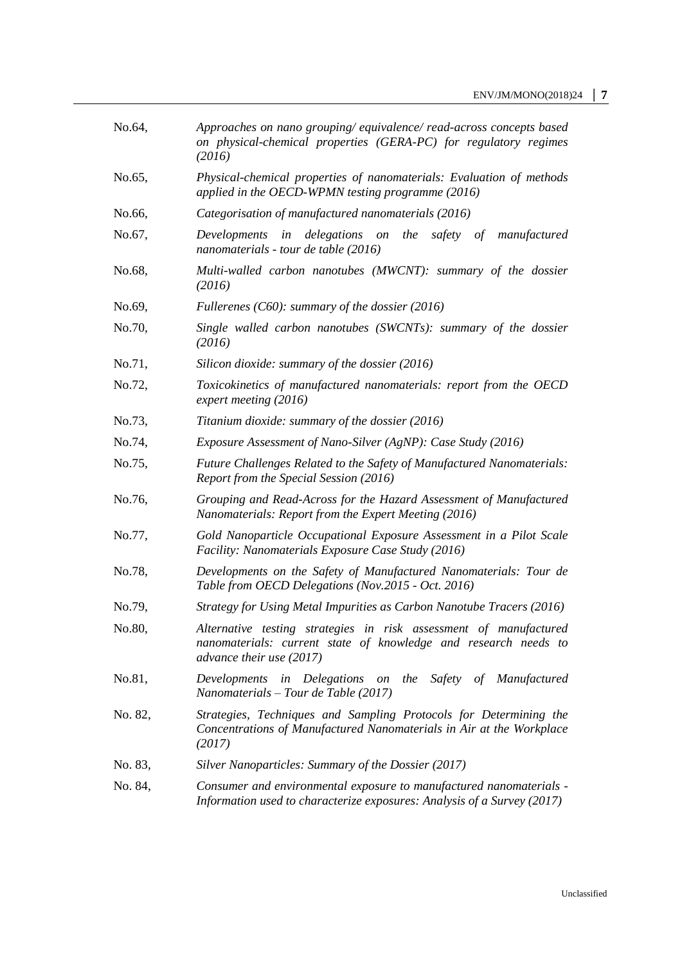| No.64,  | Approaches on nano grouping/equivalence/read-across concepts based<br>on physical-chemical properties (GERA-PC) for regulatory regimes<br>(2016)                 |
|---------|------------------------------------------------------------------------------------------------------------------------------------------------------------------|
| No.65,  | Physical-chemical properties of nanomaterials: Evaluation of methods<br>applied in the OECD-WPMN testing programme (2016)                                        |
| No.66,  | Categorisation of manufactured nanomaterials (2016)                                                                                                              |
| No.67,  | Developments in delegations on<br>the<br>safety of manufactured<br>nanomaterials - tour de table (2016)                                                          |
| No.68,  | Multi-walled carbon nanotubes (MWCNT): summary of the dossier<br>(2016)                                                                                          |
| No.69,  | Fullerenes ( $C60$ ): summary of the dossier (2016)                                                                                                              |
| No.70,  | Single walled carbon nanotubes (SWCNTs): summary of the dossier<br>(2016)                                                                                        |
| No.71,  | Silicon dioxide: summary of the dossier (2016)                                                                                                                   |
| No.72,  | Toxicokinetics of manufactured nanomaterials: report from the OECD<br>expert meeting (2016)                                                                      |
| No.73,  | Titanium dioxide: summary of the dossier (2016)                                                                                                                  |
| No.74,  | Exposure Assessment of Nano-Silver (AgNP): Case Study (2016)                                                                                                     |
| No.75,  | Future Challenges Related to the Safety of Manufactured Nanomaterials:<br>Report from the Special Session (2016)                                                 |
| No.76,  | Grouping and Read-Across for the Hazard Assessment of Manufactured<br>Nanomaterials: Report from the Expert Meeting (2016)                                       |
| No.77,  | Gold Nanoparticle Occupational Exposure Assessment in a Pilot Scale<br>Facility: Nanomaterials Exposure Case Study (2016)                                        |
| No.78,  | Developments on the Safety of Manufactured Nanomaterials: Tour de<br>Table from OECD Delegations (Nov.2015 - Oct. 2016)                                          |
| No.79,  | Strategy for Using Metal Impurities as Carbon Nanotube Tracers (2016)                                                                                            |
| No.80,  | Alternative testing strategies in risk assessment of manufactured<br>nanomaterials: current state of knowledge and research needs to<br>advance their use (2017) |
| No.81,  | Developments in Delegations on the<br>Safety of Manufactured<br>Nanomaterials – Tour de Table (2017)                                                             |
| No. 82, | Strategies, Techniques and Sampling Protocols for Determining the<br>Concentrations of Manufactured Nanomaterials in Air at the Workplace<br>(2017)              |
| No. 83, | Silver Nanoparticles: Summary of the Dossier (2017)                                                                                                              |
| No. 84, | Consumer and environmental exposure to manufactured nanomaterials -<br>Information used to characterize exposures: Analysis of a Survey (2017)                   |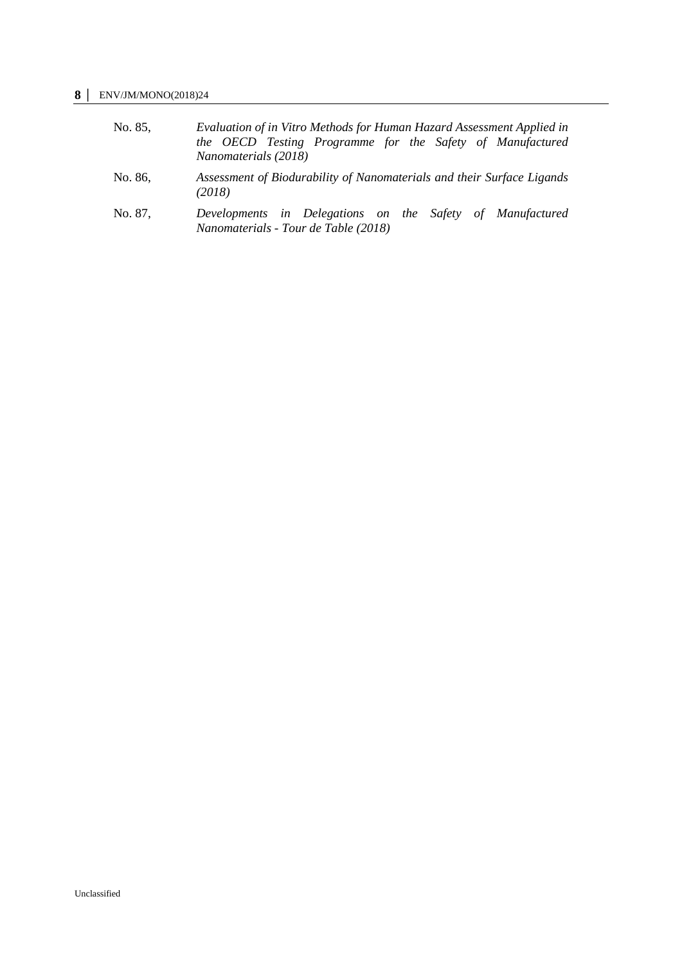| No. 85, | Evaluation of in Vitro Methods for Human Hazard Assessment Applied in<br>the OECD Testing Programme for the Safety of Manufactured<br>Nanomaterials (2018) |
|---------|------------------------------------------------------------------------------------------------------------------------------------------------------------|
| No. 86, | Assessment of Biodurability of Nanomaterials and their Surface Ligands<br>(2018)                                                                           |
| No. 87, | Developments in Delegations on the Safety of Manufactured<br>Nanomaterials - Tour de Table (2018)                                                          |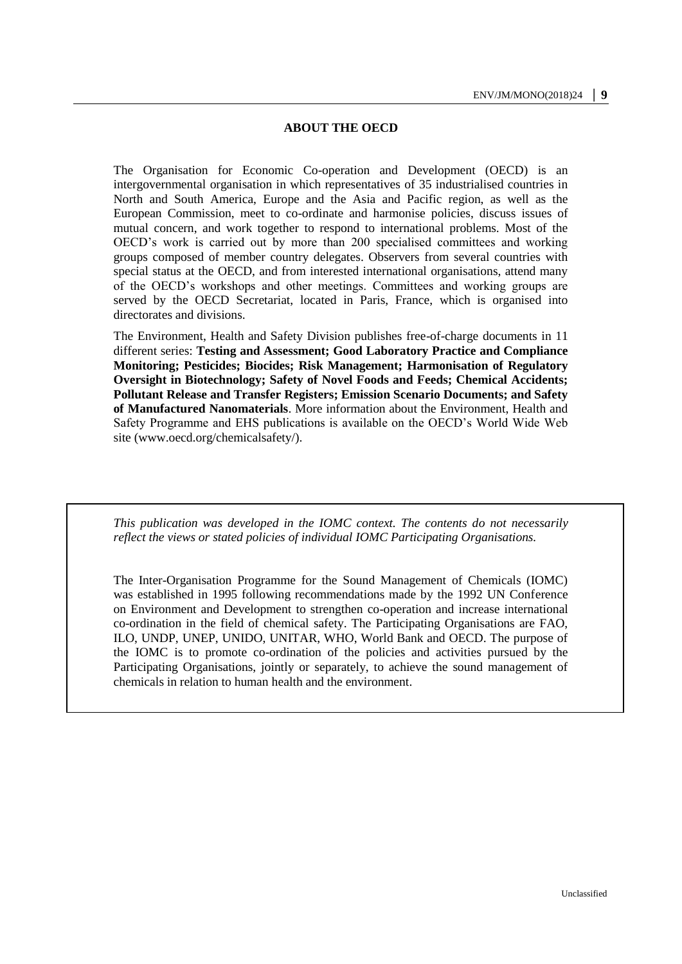#### **ABOUT THE OECD**

The Organisation for Economic Co-operation and Development (OECD) is an intergovernmental organisation in which representatives of 35 industrialised countries in North and South America, Europe and the Asia and Pacific region, as well as the European Commission, meet to co-ordinate and harmonise policies, discuss issues of mutual concern, and work together to respond to international problems. Most of the OECD's work is carried out by more than 200 specialised committees and working groups composed of member country delegates. Observers from several countries with special status at the OECD, and from interested international organisations, attend many of the OECD's workshops and other meetings. Committees and working groups are served by the OECD Secretariat, located in Paris, France, which is organised into directorates and divisions.

The Environment, Health and Safety Division publishes free-of-charge documents in 11 different series: **Testing and Assessment; Good Laboratory Practice and Compliance Monitoring; Pesticides; Biocides; Risk Management; Harmonisation of Regulatory Oversight in Biotechnology; Safety of Novel Foods and Feeds; Chemical Accidents; Pollutant Release and Transfer Registers; Emission Scenario Documents; and Safety of Manufactured Nanomaterials**. More information about the Environment, Health and Safety Programme and EHS publications is available on the OECD's World Wide Web site (www.oecd.org/chemicalsafety/).

*This publication was developed in the IOMC context. The contents do not necessarily reflect the views or stated policies of individual IOMC Participating Organisations.*

The Inter-Organisation Programme for the Sound Management of Chemicals (IOMC) was established in 1995 following recommendations made by the 1992 UN Conference on Environment and Development to strengthen co-operation and increase international co-ordination in the field of chemical safety. The Participating Organisations are FAO, ILO, UNDP, UNEP, UNIDO, UNITAR, WHO, World Bank and OECD. The purpose of the IOMC is to promote co-ordination of the policies and activities pursued by the Participating Organisations, jointly or separately, to achieve the sound management of chemicals in relation to human health and the environment.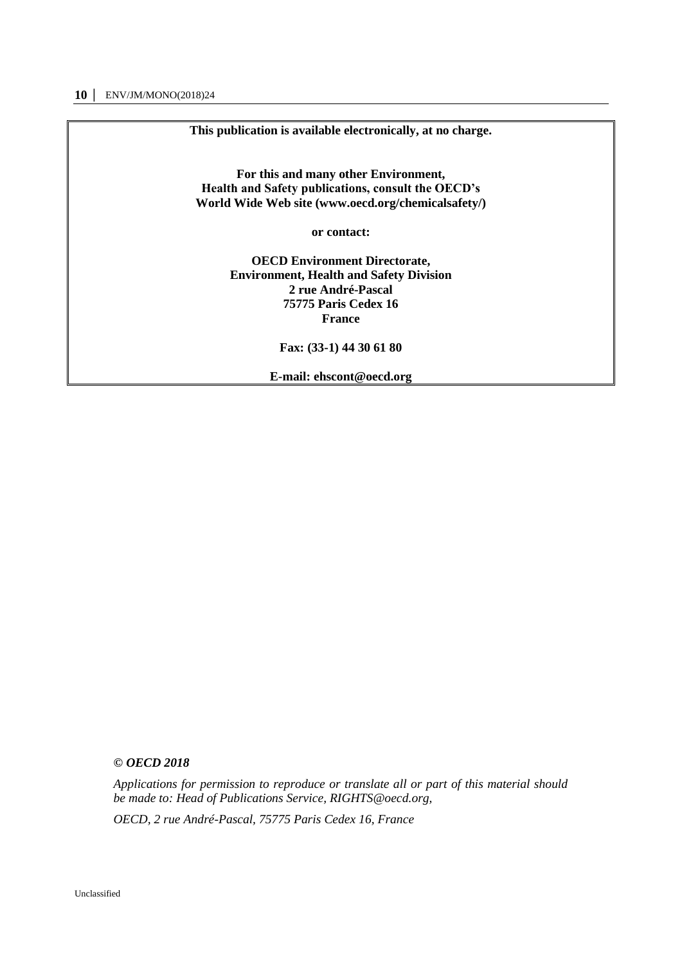**This publication is available electronically, at no charge.**

**For this and many other Environment, Health and Safety publications, consult the OECD's World Wide Web site (www.oecd.org/chemicalsafety/)**

**or contact:**

**OECD Environment Directorate, Environment, Health and Safety Division 2 rue André-Pascal 75775 Paris Cedex 16 France**

**Fax: (33-1) 44 30 61 80** 

**E-mail: ehscont@oecd.org**

#### *© OECD 2018*

*Applications for permission to reproduce or translate all or part of this material should be made to: Head of Publications Service, RIGHTS@oecd.org,* 

*OECD, 2 rue André-Pascal, 75775 Paris Cedex 16, France*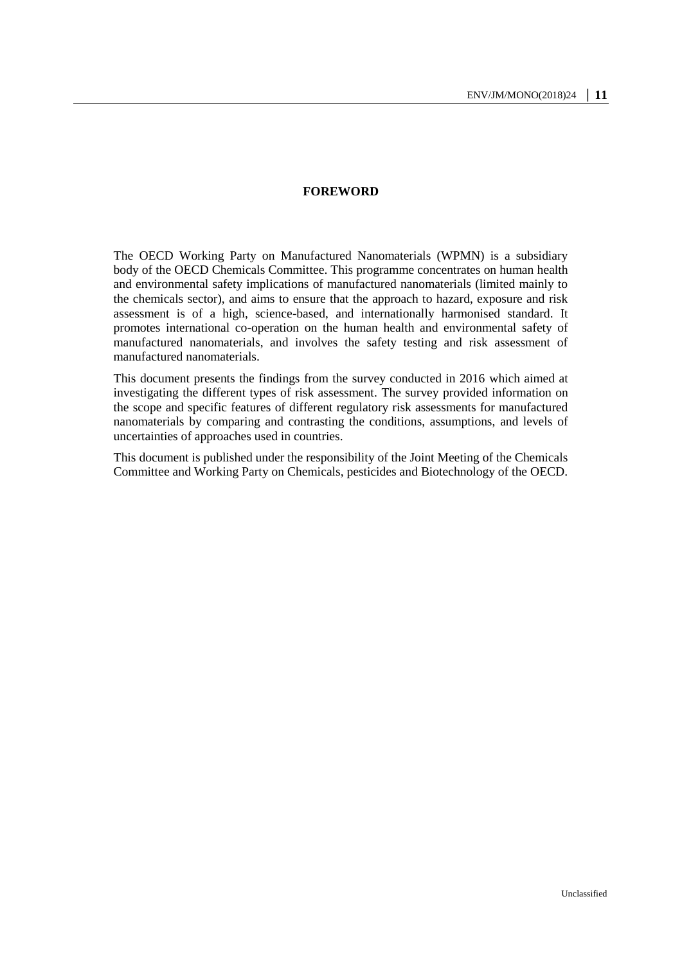#### **FOREWORD**

The OECD Working Party on Manufactured Nanomaterials (WPMN) is a subsidiary body of the OECD Chemicals Committee. This programme concentrates on human health and environmental safety implications of manufactured nanomaterials (limited mainly to the chemicals sector), and aims to ensure that the approach to hazard, exposure and risk assessment is of a high, science-based, and internationally harmonised standard. It promotes international co-operation on the human health and environmental safety of manufactured nanomaterials, and involves the safety testing and risk assessment of manufactured nanomaterials.

This document presents the findings from the survey conducted in 2016 which aimed at investigating the different types of risk assessment. The survey provided information on the scope and specific features of different regulatory risk assessments for manufactured nanomaterials by comparing and contrasting the conditions, assumptions, and levels of uncertainties of approaches used in countries.

This document is published under the responsibility of the Joint Meeting of the Chemicals Committee and Working Party on Chemicals, pesticides and Biotechnology of the OECD.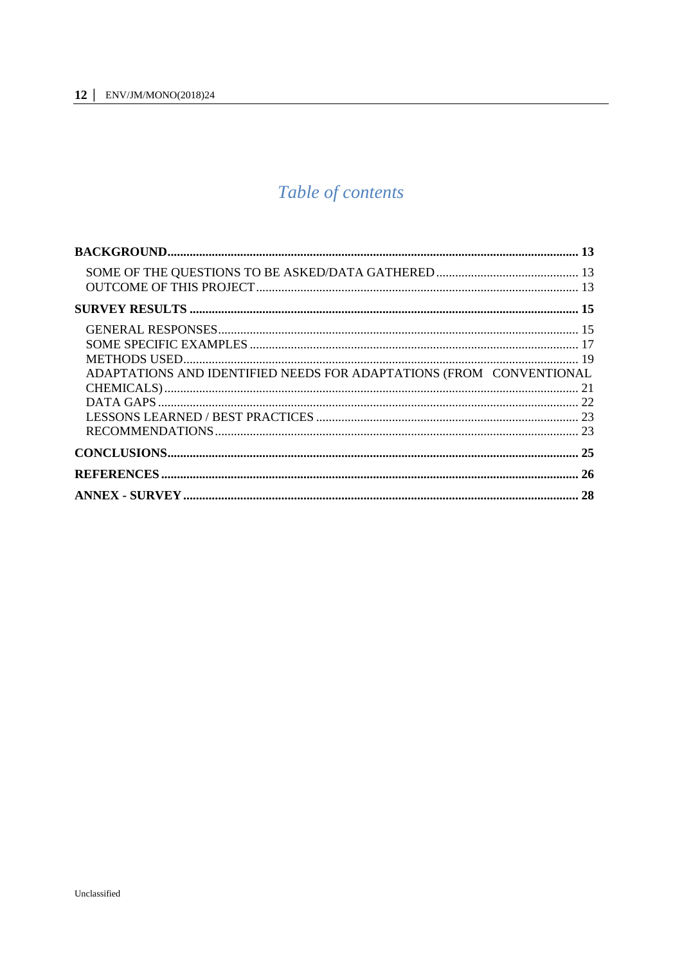# Table of contents

| ADAPTATIONS AND IDENTIFIED NEEDS FOR ADAPTATIONS (FROM CONVENTIONAL |  |
|---------------------------------------------------------------------|--|
|                                                                     |  |
|                                                                     |  |
|                                                                     |  |
|                                                                     |  |
|                                                                     |  |
|                                                                     |  |
|                                                                     |  |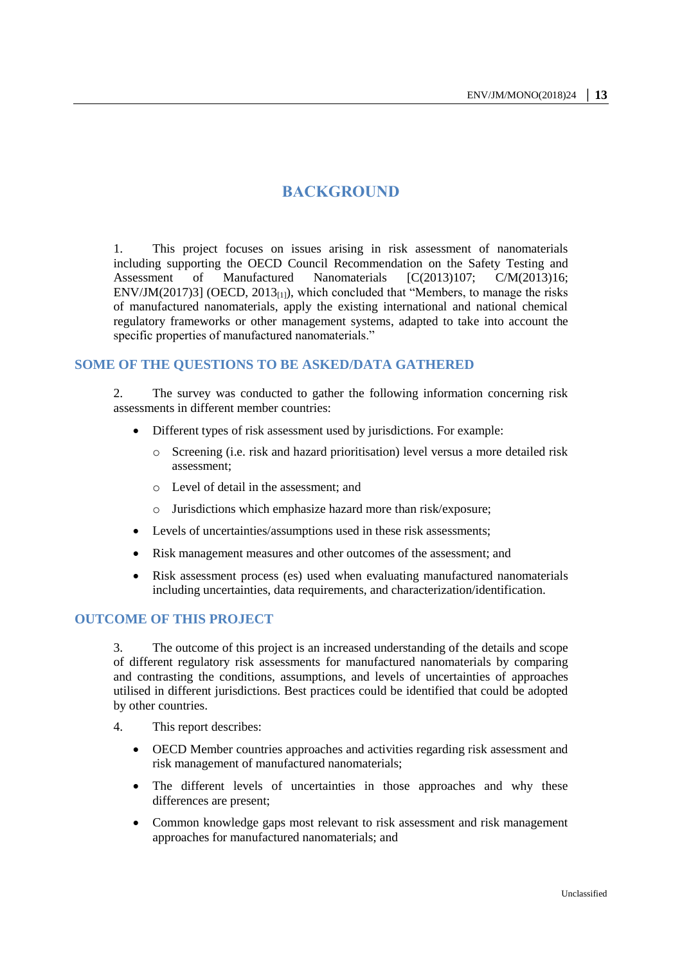# **BACKGROUND**

<span id="page-12-0"></span>1. This project focuses on issues arising in risk assessment of nanomaterials including supporting the OECD Council Recommendation on the Safety Testing and Assessment of Manufactured Nanomaterials [C(2013)107; C/M(2013)16: of Manufactured Nanomaterials  $[C(2013)107; C/M(2013)16;$  $ENV/IM(2017)3$ ] (OECD,  $2013<sub>[1]</sub>$ ), which concluded that "Members, to manage the risks of manufactured nanomaterials, apply the existing international and national chemical regulatory frameworks or other management systems, adapted to take into account the specific properties of manufactured nanomaterials."

#### <span id="page-12-1"></span>**SOME OF THE QUESTIONS TO BE ASKED/DATA GATHERED**

2. The survey was conducted to gather the following information concerning risk assessments in different member countries:

- Different types of risk assessment used by jurisdictions. For example:
	- o Screening (i.e. risk and hazard prioritisation) level versus a more detailed risk assessment;
	- o Level of detail in the assessment; and
	- o Jurisdictions which emphasize hazard more than risk/exposure;
- Levels of uncertainties/assumptions used in these risk assessments;
- Risk management measures and other outcomes of the assessment; and
- Risk assessment process (es) used when evaluating manufactured nanomaterials including uncertainties, data requirements, and characterization/identification.

#### <span id="page-12-2"></span>**OUTCOME OF THIS PROJECT**

3. The outcome of this project is an increased understanding of the details and scope of different regulatory risk assessments for manufactured nanomaterials by comparing and contrasting the conditions, assumptions, and levels of uncertainties of approaches utilised in different jurisdictions. Best practices could be identified that could be adopted by other countries.

- 4. This report describes:
	- OECD Member countries approaches and activities regarding risk assessment and risk management of manufactured nanomaterials;
	- The different levels of uncertainties in those approaches and why these differences are present;
	- Common knowledge gaps most relevant to risk assessment and risk management approaches for manufactured nanomaterials; and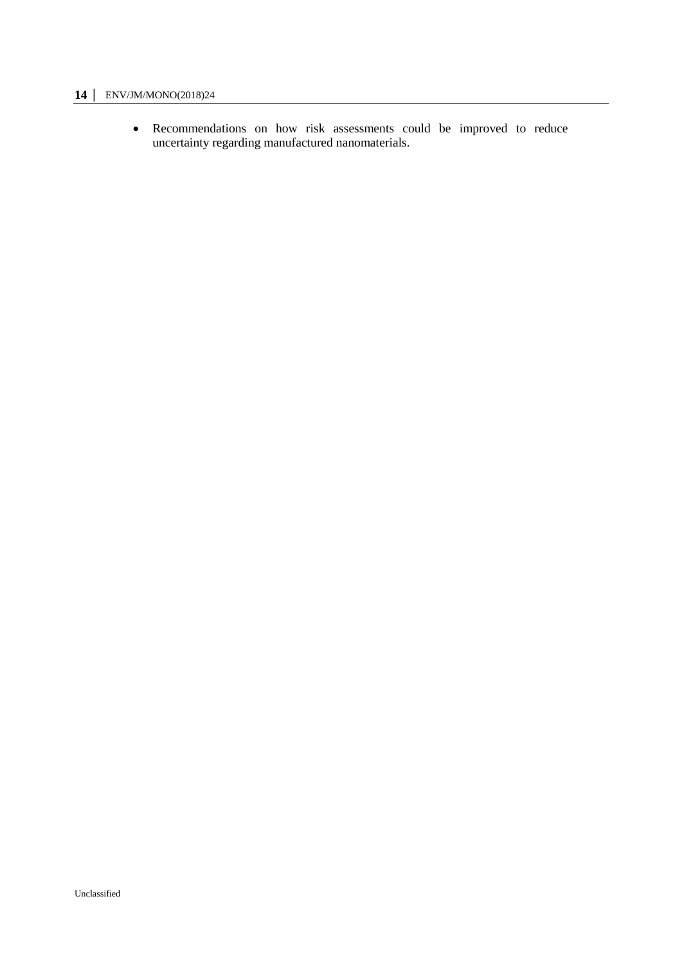#### **14 │** ENV/JM/MONO(2018)24

 Recommendations on how risk assessments could be improved to reduce uncertainty regarding manufactured nanomaterials.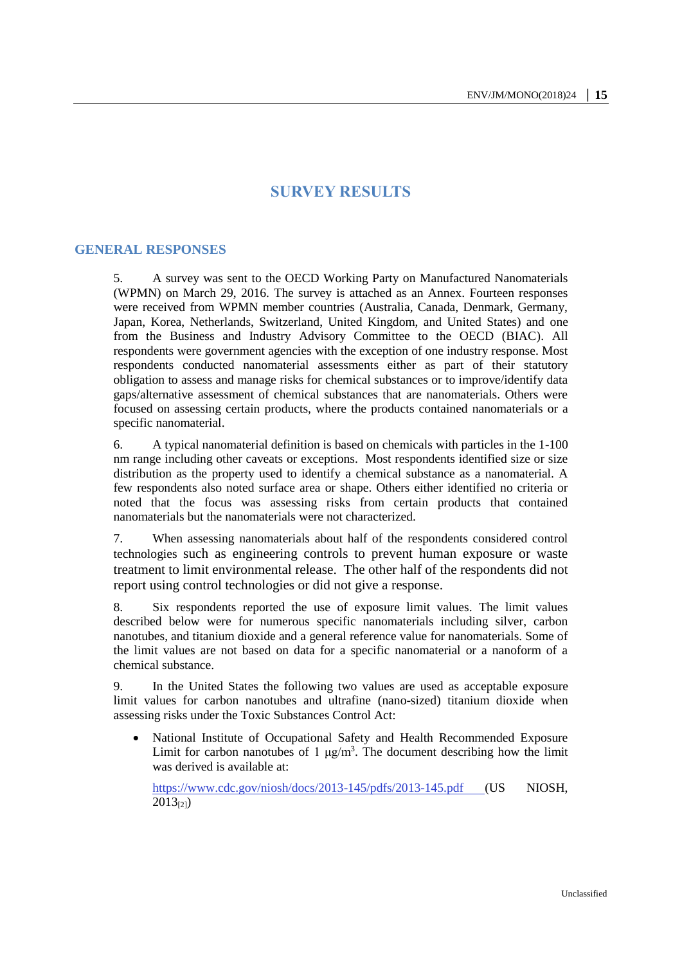# **SURVEY RESULTS**

#### <span id="page-14-1"></span><span id="page-14-0"></span>**GENERAL RESPONSES**

5. A survey was sent to the OECD Working Party on Manufactured Nanomaterials (WPMN) on March 29, 2016. The survey is attached as an Annex. Fourteen responses were received from WPMN member countries (Australia, Canada, Denmark, Germany, Japan, Korea, Netherlands, Switzerland, United Kingdom, and United States) and one from the Business and Industry Advisory Committee to the OECD (BIAC). All respondents were government agencies with the exception of one industry response. Most respondents conducted nanomaterial assessments either as part of their statutory obligation to assess and manage risks for chemical substances or to improve/identify data gaps/alternative assessment of chemical substances that are nanomaterials. Others were focused on assessing certain products, where the products contained nanomaterials or a specific nanomaterial.

6. A typical nanomaterial definition is based on chemicals with particles in the 1-100 nm range including other caveats or exceptions. Most respondents identified size or size distribution as the property used to identify a chemical substance as a nanomaterial. A few respondents also noted surface area or shape. Others either identified no criteria or noted that the focus was assessing risks from certain products that contained nanomaterials but the nanomaterials were not characterized.

7. When assessing nanomaterials about half of the respondents considered control technologies such as engineering controls to prevent human exposure or waste treatment to limit environmental release. The other half of the respondents did not report using control technologies or did not give a response.

8. Six respondents reported the use of exposure limit values. The limit values described below were for numerous specific nanomaterials including silver, carbon nanotubes, and titanium dioxide and a general reference value for nanomaterials. Some of the limit values are not based on data for a specific nanomaterial or a nanoform of a chemical substance.

9. In the United States the following two values are used as acceptable exposure limit values for carbon nanotubes and ultrafine (nano-sized) titanium dioxide when assessing risks under the Toxic Substances Control Act:

 National Institute of Occupational Safety and Health Recommended Exposure Limit for carbon nanotubes of 1  $\mu$ g/m<sup>3</sup>. The document describing how the limit was derived is available at:

<https://www.cdc.gov/niosh/docs/2013-145/pdfs/2013-145.pdf> (US NIOSH,  $2013_{[2]}$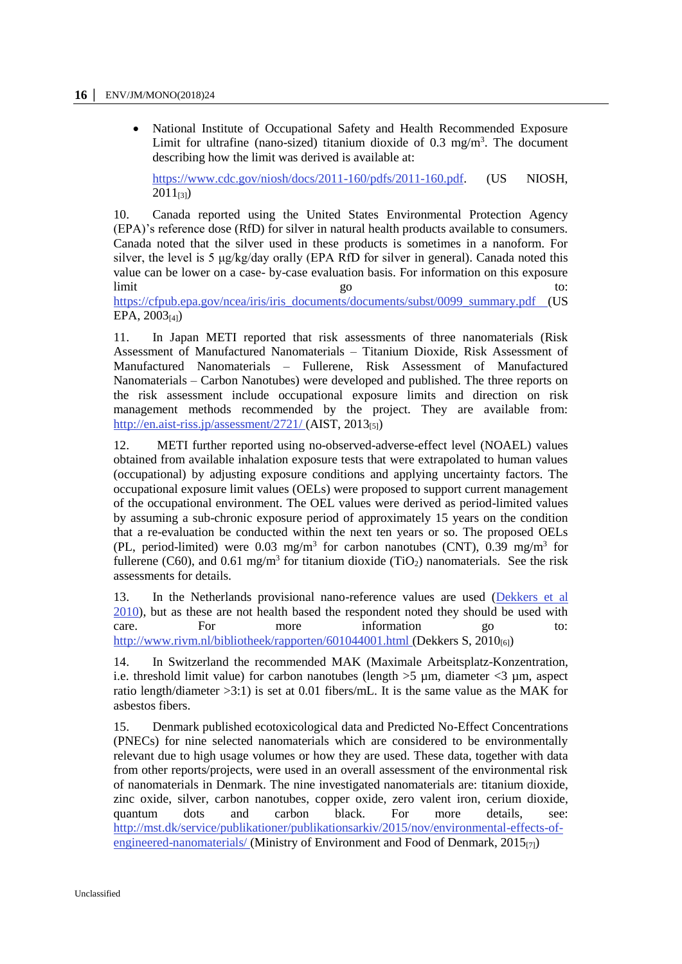National Institute of Occupational Safety and Health Recommended Exposure Limit for ultrafine (nano-sized) titanium dioxide of  $0.3 \text{ mg/m}^3$ . The document describing how the limit was derived is available at:

[https://www.cdc.gov/niosh/docs/2011-160/pdfs/2011-160.pdf.](https://www.cdc.gov/niosh/docs/2011-160/pdfs/2011-160.pdf) (US NIOSH,  $2011_{[3]}$ 

10. Canada reported using the United States Environmental Protection Agency (EPA)'s reference dose (RfD) for silver in natural health products available to consumers. Canada noted that the silver used in these products is sometimes in a nanoform. For silver, the level is 5 μg/kg/day orally (EPA RfD for silver in general). Canada noted this value can be lower on a case- by-case evaluation basis. For information on this exposure limit go to: [https://cfpub.epa.gov/ncea/iris/iris\\_documents/documents/subst/0099\\_summary.pdf](https://cfpub.epa.gov/ncea/iris/iris_documents/documents/subst/0099_summary.pdf) (US EPA, 2003[4])

11. In Japan METI reported that risk assessments of three nanomaterials (Risk Assessment of Manufactured Nanomaterials – Titanium Dioxide, Risk Assessment of Manufactured Nanomaterials – Fullerene, Risk Assessment of Manufactured Nanomaterials – Carbon Nanotubes) were developed and published. The three reports on the risk assessment include occupational exposure limits and direction on risk management methods recommended by the project. They are available from: <http://en.aist-riss.jp/assessment/2721/> (AIST, 2013<sup>[5]</sup>)

12. METI further reported using no-observed-adverse-effect level (NOAEL) values obtained from available inhalation exposure tests that were extrapolated to human values (occupational) by adjusting exposure conditions and applying uncertainty factors. The occupational exposure limit values (OELs) were proposed to support current management of the occupational environment. The OEL values were derived as period-limited values by assuming a sub-chronic exposure period of approximately 15 years on the condition that a re-evaluation be conducted within the next ten years or so. The proposed OELs (PL, period-limited) were 0.03 mg/m<sup>3</sup> for carbon nanotubes (CNT), 0.39 mg/m<sup>3</sup> for fullerene (C60), and 0.61 mg/m<sup>3</sup> for titanium dioxide (TiO<sub>2</sub>) nanomaterials. See the risk assessments for details.

13. In the Netherlands provisional nano-reference values are used [\(Dekkers et al](http://www.rivm.nl/bibliotheek/rapporten/601044001.html)  [2010\)](http://www.rivm.nl/bibliotheek/rapporten/601044001.html), but as these are not health based the respondent noted they should be used with care. For more information go to: <http://www.rivm.nl/bibliotheek/rapporten/601044001.html> (Dekkers S, 2010<sub>[6]</sub>)

14. In Switzerland the recommended MAK (Maximale Arbeitsplatz-Konzentration, i.e. threshold limit value) for carbon nanotubes (length  $>5 \mu m$ , diameter  $<3 \mu m$ , aspect ratio length/diameter >3:1) is set at 0.01 fibers/mL. It is the same value as the MAK for asbestos fibers.

15. Denmark published ecotoxicological data and Predicted No-Effect Concentrations (PNECs) for nine selected nanomaterials which are considered to be environmentally relevant due to high usage volumes or how they are used. These data, together with data from other reports/projects, were used in an overall assessment of the environmental risk of nanomaterials in Denmark. The nine investigated nanomaterials are: titanium dioxide, zinc oxide, silver, carbon nanotubes, copper oxide, zero valent iron, cerium dioxide, quantum dots and carbon black. For more details, see: [http://mst.dk/service/publikationer/publikationsarkiv/2015/nov/environmental-effects-of](http://mst.dk/service/publikationer/publikationsarkiv/2015/nov/environmental-effects-of-engineered-nanomaterials/)[engineered-nanomaterials/](http://mst.dk/service/publikationer/publikationsarkiv/2015/nov/environmental-effects-of-engineered-nanomaterials/) (Ministry of Environment and Food of Denmark, 2015<sub>[7]</sub>)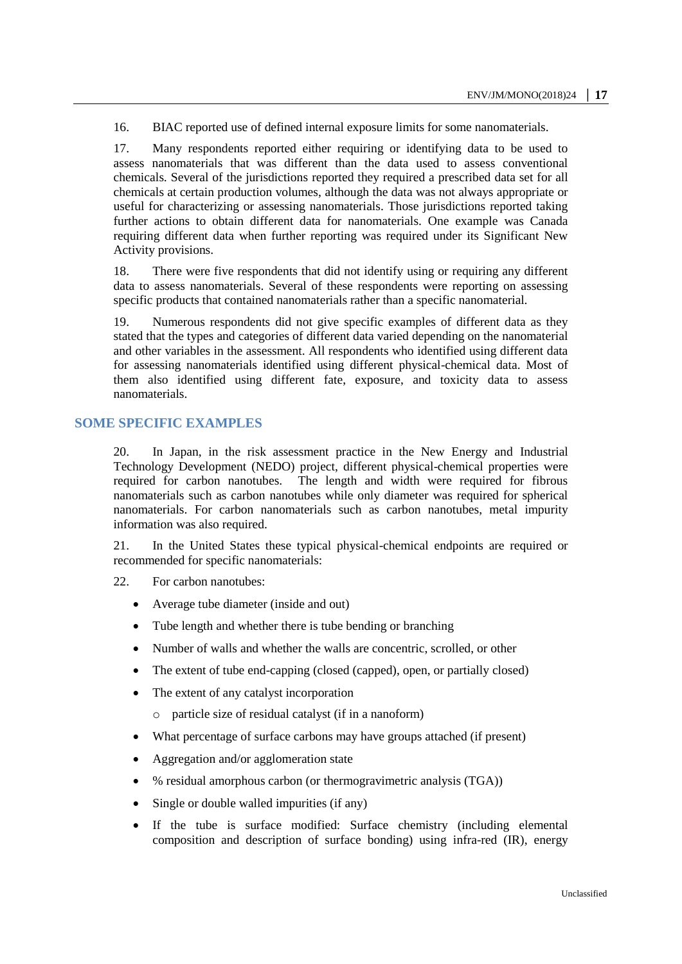16. BIAC reported use of defined internal exposure limits for some nanomaterials.

17. Many respondents reported either requiring or identifying data to be used to assess nanomaterials that was different than the data used to assess conventional chemicals. Several of the jurisdictions reported they required a prescribed data set for all chemicals at certain production volumes, although the data was not always appropriate or useful for characterizing or assessing nanomaterials. Those jurisdictions reported taking further actions to obtain different data for nanomaterials. One example was Canada requiring different data when further reporting was required under its Significant New Activity provisions.

18. There were five respondents that did not identify using or requiring any different data to assess nanomaterials. Several of these respondents were reporting on assessing specific products that contained nanomaterials rather than a specific nanomaterial.

19. Numerous respondents did not give specific examples of different data as they stated that the types and categories of different data varied depending on the nanomaterial and other variables in the assessment. All respondents who identified using different data for assessing nanomaterials identified using different physical-chemical data. Most of them also identified using different fate, exposure, and toxicity data to assess nanomaterials.

#### <span id="page-16-0"></span>**SOME SPECIFIC EXAMPLES**

20. In Japan, in the risk assessment practice in the New Energy and Industrial Technology Development (NEDO) project, different physical-chemical properties were required for carbon nanotubes. The length and width were required for fibrous nanomaterials such as carbon nanotubes while only diameter was required for spherical nanomaterials. For carbon nanomaterials such as carbon nanotubes, metal impurity information was also required.

21. In the United States these typical physical-chemical endpoints are required or recommended for specific nanomaterials:

- 22. For carbon nanotubes:
	- Average tube diameter (inside and out)
	- Tube length and whether there is tube bending or branching
	- Number of walls and whether the walls are concentric, scrolled, or other
	- The extent of tube end-capping (closed (capped), open, or partially closed)
	- The extent of any catalyst incorporation
		- o particle size of residual catalyst (if in a nanoform)
	- What percentage of surface carbons may have groups attached (if present)
	- Aggregation and/or agglomeration state
	- % residual amorphous carbon (or thermogravimetric analysis (TGA))
	- Single or double walled impurities (if any)
	- If the tube is surface modified: Surface chemistry (including elemental composition and description of surface bonding) using infra-red (IR), energy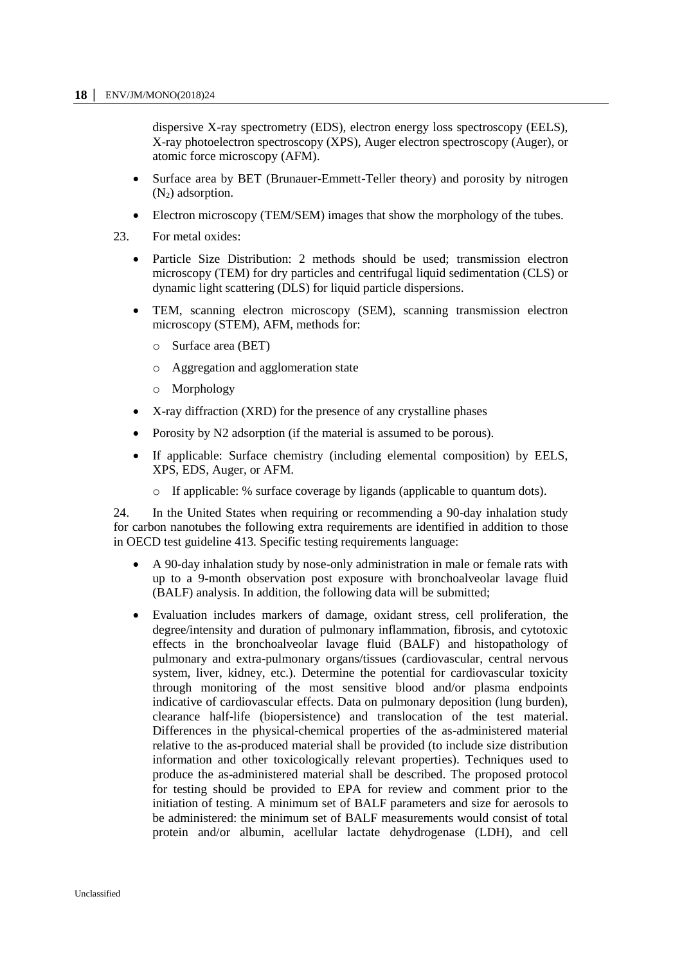dispersive X-ray spectrometry (EDS), electron energy loss spectroscopy (EELS), X-ray photoelectron spectroscopy (XPS), Auger electron spectroscopy (Auger), or atomic force microscopy (AFM).

- Surface area by BET (Brunauer-Emmett-Teller theory) and porosity by nitrogen  $(N_2)$  adsorption.
- Electron microscopy (TEM/SEM) images that show the morphology of the tubes.
- 23. For metal oxides:
	- Particle Size Distribution: 2 methods should be used; transmission electron microscopy (TEM) for dry particles and centrifugal liquid sedimentation (CLS) or dynamic light scattering (DLS) for liquid particle dispersions.
	- TEM, scanning electron microscopy (SEM), scanning transmission electron microscopy (STEM), AFM, methods for:
		- o Surface area (BET)
		- o Aggregation and agglomeration state
		- o Morphology
	- X-ray diffraction (XRD) for the presence of any crystalline phases
	- Porosity by N2 adsorption (if the material is assumed to be porous).
	- If applicable: Surface chemistry (including elemental composition) by EELS, XPS, EDS, Auger, or AFM.
		- o If applicable: % surface coverage by ligands (applicable to quantum dots).

24. In the United States when requiring or recommending a 90-day inhalation study for carbon nanotubes the following extra requirements are identified in addition to those in OECD test guideline 413. Specific testing requirements language:

- A 90-day inhalation study by nose-only administration in male or female rats with up to a 9-month observation post exposure with bronchoalveolar lavage fluid (BALF) analysis. In addition, the following data will be submitted;
- Evaluation includes markers of damage, oxidant stress, cell proliferation, the degree/intensity and duration of pulmonary inflammation, fibrosis, and cytotoxic effects in the bronchoalveolar lavage fluid (BALF) and histopathology of pulmonary and extra-pulmonary organs/tissues (cardiovascular, central nervous system, liver, kidney, etc.). Determine the potential for cardiovascular toxicity through monitoring of the most sensitive blood and/or plasma endpoints indicative of cardiovascular effects. Data on pulmonary deposition (lung burden), clearance half-life (biopersistence) and translocation of the test material. Differences in the physical-chemical properties of the as-administered material relative to the as-produced material shall be provided (to include size distribution information and other toxicologically relevant properties). Techniques used to produce the as-administered material shall be described. The proposed protocol for testing should be provided to EPA for review and comment prior to the initiation of testing. A minimum set of BALF parameters and size for aerosols to be administered: the minimum set of BALF measurements would consist of total protein and/or albumin, acellular lactate dehydrogenase (LDH), and cell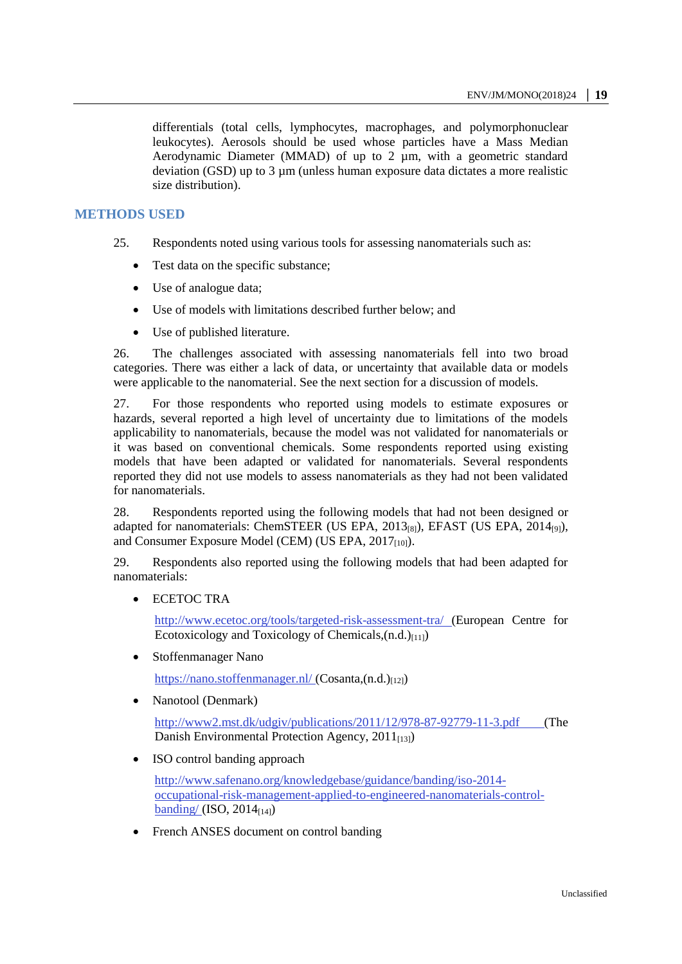differentials (total cells, lymphocytes, macrophages, and polymorphonuclear leukocytes). Aerosols should be used whose particles have a Mass Median Aerodynamic Diameter (MMAD) of up to 2  $\mu$ m, with a geometric standard deviation (GSD) up to 3 µm (unless human exposure data dictates a more realistic size distribution).

#### <span id="page-18-0"></span>**METHODS USED**

- 25. Respondents noted using various tools for assessing nanomaterials such as:
	- Test data on the specific substance;
	- Use of analogue data;
	- Use of models with limitations described further below; and
	- Use of published literature.

26. The challenges associated with assessing nanomaterials fell into two broad categories. There was either a lack of data, or uncertainty that available data or models were applicable to the nanomaterial. See the next section for a discussion of models.

27. For those respondents who reported using models to estimate exposures or hazards, several reported a high level of uncertainty due to limitations of the models applicability to nanomaterials, because the model was not validated for nanomaterials or it was based on conventional chemicals. Some respondents reported using existing models that have been adapted or validated for nanomaterials. Several respondents reported they did not use models to assess nanomaterials as they had not been validated for nanomaterials.

28. Respondents reported using the following models that had not been designed or adapted for nanomaterials: ChemSTEER (US EPA, 2013[8]), EFAST (US EPA, 2014<sub>[9]</sub>), and Consumer Exposure Model (CEM) (US EPA, 2017<sub>[10]</sub>).

29. Respondents also reported using the following models that had been adapted for nanomaterials:

ECETOC TRA

<http://www.ecetoc.org/tools/targeted-risk-assessment-tra/> (European Centre for Ecotoxicology and Toxicology of Chemicals, $(n.d.)$ [11])

Stoffenmanager Nano

<https://nano.stoffenmanager.nl/> (Cosanta,(n.d.)[12])

Nanotool (Denmark)

<http://www2.mst.dk/udgiv/publications/2011/12/978-87-92779-11-3.pdf> (The Danish Environmental Protection Agency,  $2011_{[13]}$ )

ISO control banding approach

[http://www.safenano.org/knowledgebase/guidance/banding/iso-2014](http://www.safenano.org/knowledgebase/guidance/banding/iso-2014-occupational-risk-management-applied-to-engineered-nanomaterials-control-banding/) [occupational-risk-management-applied-to-engineered-nanomaterials-control](http://www.safenano.org/knowledgebase/guidance/banding/iso-2014-occupational-risk-management-applied-to-engineered-nanomaterials-control-banding/)[banding/](http://www.safenano.org/knowledgebase/guidance/banding/iso-2014-occupational-risk-management-applied-to-engineered-nanomaterials-control-banding/) (ISO,  $2014_{[14]}$ )

French ANSES document on control banding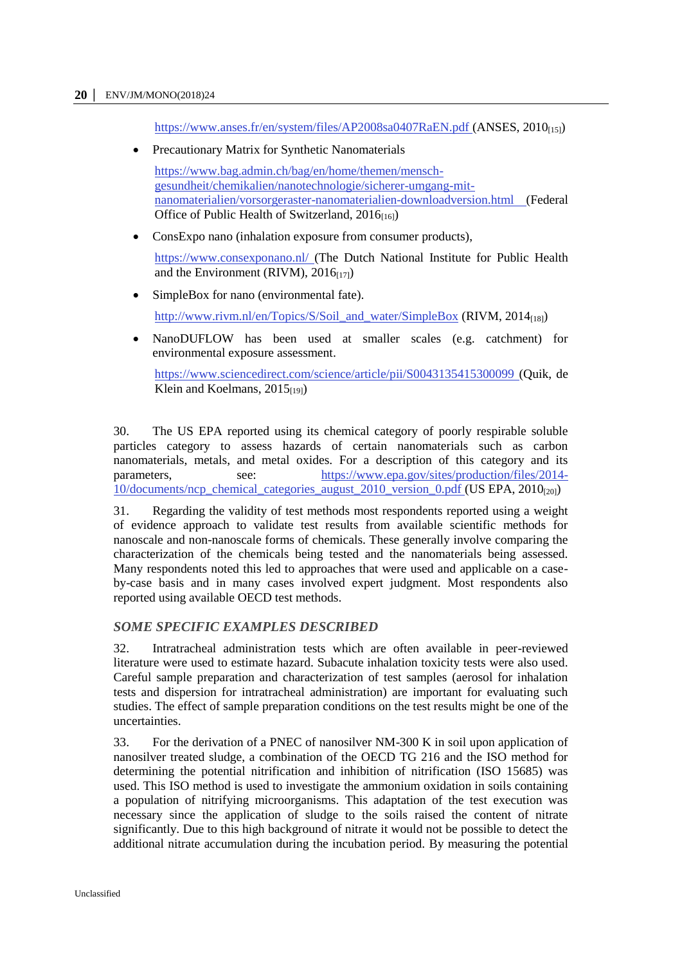<https://www.anses.fr/en/system/files/AP2008sa0407RaEN.pdf> (ANSES, 2010<sub>[15]</sub>)

• Precautionary Matrix for Synthetic Nanomaterials

[https://www.bag.admin.ch/bag/en/home/themen/mensch](https://www.bag.admin.ch/bag/en/home/themen/mensch-gesundheit/chemikalien/nanotechnologie/sicherer-umgang-mit-nanomaterialien/vorsorgeraster-nanomaterialien-downloadversion.html)[gesundheit/chemikalien/nanotechnologie/sicherer-umgang-mit](https://www.bag.admin.ch/bag/en/home/themen/mensch-gesundheit/chemikalien/nanotechnologie/sicherer-umgang-mit-nanomaterialien/vorsorgeraster-nanomaterialien-downloadversion.html)[nanomaterialien/vorsorgeraster-nanomaterialien-downloadversion.html](https://www.bag.admin.ch/bag/en/home/themen/mensch-gesundheit/chemikalien/nanotechnologie/sicherer-umgang-mit-nanomaterialien/vorsorgeraster-nanomaterialien-downloadversion.html) (Federal Office of Public Health of Switzerland,  $2016_{[16]}$ )

- ConsExpo nano (inhalation exposure from consumer products), <https://www.consexponano.nl/> (The Dutch National Institute for Public Health and the Environment (RIVM),  $2016_{[17]}$ )
- SimpleBox for nano (environmental fate).

[http://www.rivm.nl/en/Topics/S/Soil\\_and\\_water/SimpleBox](http://www.rivm.nl/en/Topics/S/Soil_and_water/SimpleBox) (RIVM, 2014<sub>[18]</sub>)

 NanoDUFLOW has been used at smaller scales (e.g. catchment) for environmental exposure assessment.

<https://www.sciencedirect.com/science/article/pii/S0043135415300099> (Quik, de Klein and Koelmans,  $2015_{[19]}$ )

30. The US EPA reported using its chemical category of poorly respirable soluble particles category to assess hazards of certain nanomaterials such as carbon nanomaterials, metals, and metal oxides. For a description of this category and its parameters, see: [https://www.epa.gov/sites/production/files/2014-](https://www.epa.gov/sites/production/files/2014-10/documents/ncp_chemical_categories_august_2010_version_0.pdf) [10/documents/ncp\\_chemical\\_categories\\_august\\_2010\\_version\\_0.pdf](https://www.epa.gov/sites/production/files/2014-10/documents/ncp_chemical_categories_august_2010_version_0.pdf) (US EPA, 2010[20])

31. Regarding the validity of test methods most respondents reported using a weight of evidence approach to validate test results from available scientific methods for nanoscale and non-nanoscale forms of chemicals. These generally involve comparing the characterization of the chemicals being tested and the nanomaterials being assessed. Many respondents noted this led to approaches that were used and applicable on a caseby-case basis and in many cases involved expert judgment. Most respondents also reported using available OECD test methods.

#### *SOME SPECIFIC EXAMPLES DESCRIBED*

32. Intratracheal administration tests which are often available in peer-reviewed literature were used to estimate hazard. Subacute inhalation toxicity tests were also used. Careful sample preparation and characterization of test samples (aerosol for inhalation tests and dispersion for intratracheal administration) are important for evaluating such studies. The effect of sample preparation conditions on the test results might be one of the uncertainties.

33. For the derivation of a PNEC of nanosilver NM-300 K in soil upon application of nanosilver treated sludge, a combination of the OECD TG 216 and the ISO method for determining the potential nitrification and inhibition of nitrification (ISO 15685) was used. This ISO method is used to investigate the ammonium oxidation in soils containing a population of nitrifying microorganisms. This adaptation of the test execution was necessary since the application of sludge to the soils raised the content of nitrate significantly. Due to this high background of nitrate it would not be possible to detect the additional nitrate accumulation during the incubation period. By measuring the potential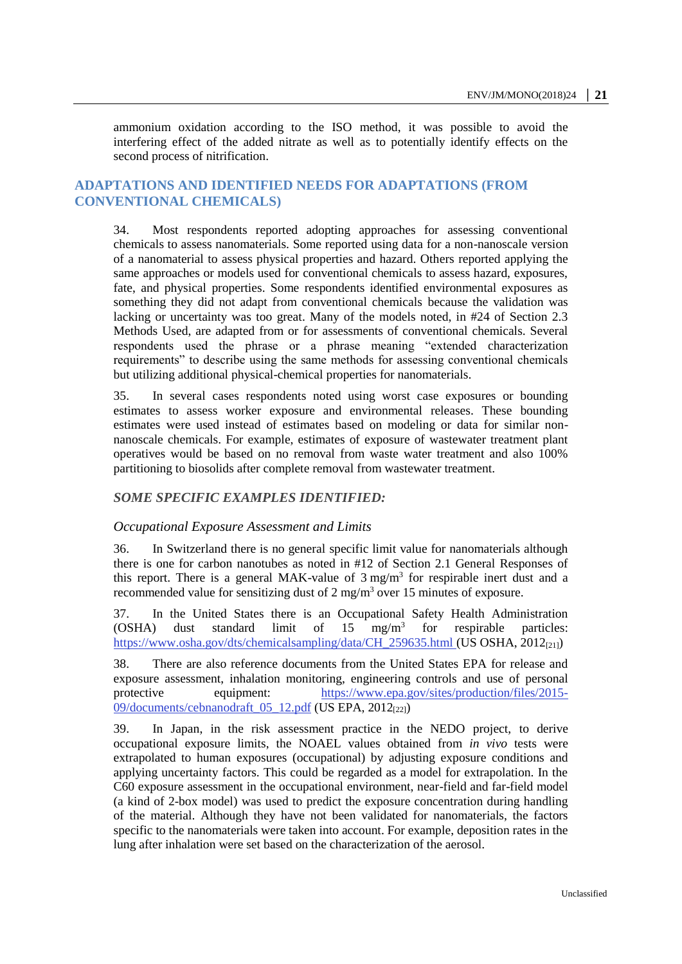ammonium oxidation according to the ISO method, it was possible to avoid the interfering effect of the added nitrate as well as to potentially identify effects on the second process of nitrification.

#### <span id="page-20-0"></span>**ADAPTATIONS AND IDENTIFIED NEEDS FOR ADAPTATIONS (FROM CONVENTIONAL CHEMICALS)**

34. Most respondents reported adopting approaches for assessing conventional chemicals to assess nanomaterials. Some reported using data for a non-nanoscale version of a nanomaterial to assess physical properties and hazard. Others reported applying the same approaches or models used for conventional chemicals to assess hazard, exposures, fate, and physical properties. Some respondents identified environmental exposures as something they did not adapt from conventional chemicals because the validation was lacking or uncertainty was too great. Many of the models noted, in #24 of Section 2.3 Methods Used, are adapted from or for assessments of conventional chemicals. Several respondents used the phrase or a phrase meaning "extended characterization requirements" to describe using the same methods for assessing conventional chemicals but utilizing additional physical-chemical properties for nanomaterials.

35. In several cases respondents noted using worst case exposures or bounding estimates to assess worker exposure and environmental releases. These bounding estimates were used instead of estimates based on modeling or data for similar nonnanoscale chemicals. For example, estimates of exposure of wastewater treatment plant operatives would be based on no removal from waste water treatment and also 100% partitioning to biosolids after complete removal from wastewater treatment.

#### *SOME SPECIFIC EXAMPLES IDENTIFIED:*

#### *Occupational Exposure Assessment and Limits*

36. In Switzerland there is no general specific limit value for nanomaterials although there is one for carbon nanotubes as noted in #12 of Section 2.1 General Responses of this report. There is a general MAK-value of  $3 \text{ mg/m}^3$  for respirable inert dust and a recommended value for sensitizing dust of  $2 \text{ mg/m}^3$  over 15 minutes of exposure.

37. In the United States there is an Occupational Safety Health Administration (OSHA) dust standard limit of  $15 \text{ mg/m}^3$ for respirable particles: [https://www.osha.gov/dts/chemicalsampling/data/CH\\_259635.html](https://www.osha.gov/dts/chemicalsampling/data/CH_259635.html) (US OSHA, 2012<sub>[21]</sub>)

38. There are also reference documents from the United States EPA for release and exposure assessment, inhalation monitoring, engineering controls and use of personal protective equipment: [https://www.epa.gov/sites/production/files/2015-](https://www.epa.gov/sites/production/files/2015-09/documents/cebnanodraft_05_12.pdf) 09/documents/cebnanodraft  $05$  12.pdf (US EPA, 2012 $_{[22]}$ )

39. In Japan, in the risk assessment practice in the NEDO project, to derive occupational exposure limits, the NOAEL values obtained from *in vivo* tests were extrapolated to human exposures (occupational) by adjusting exposure conditions and applying uncertainty factors. This could be regarded as a model for extrapolation. In the C60 exposure assessment in the occupational environment, near-field and far-field model (a kind of 2-box model) was used to predict the exposure concentration during handling of the material. Although they have not been validated for nanomaterials, the factors specific to the nanomaterials were taken into account. For example, deposition rates in the lung after inhalation were set based on the characterization of the aerosol.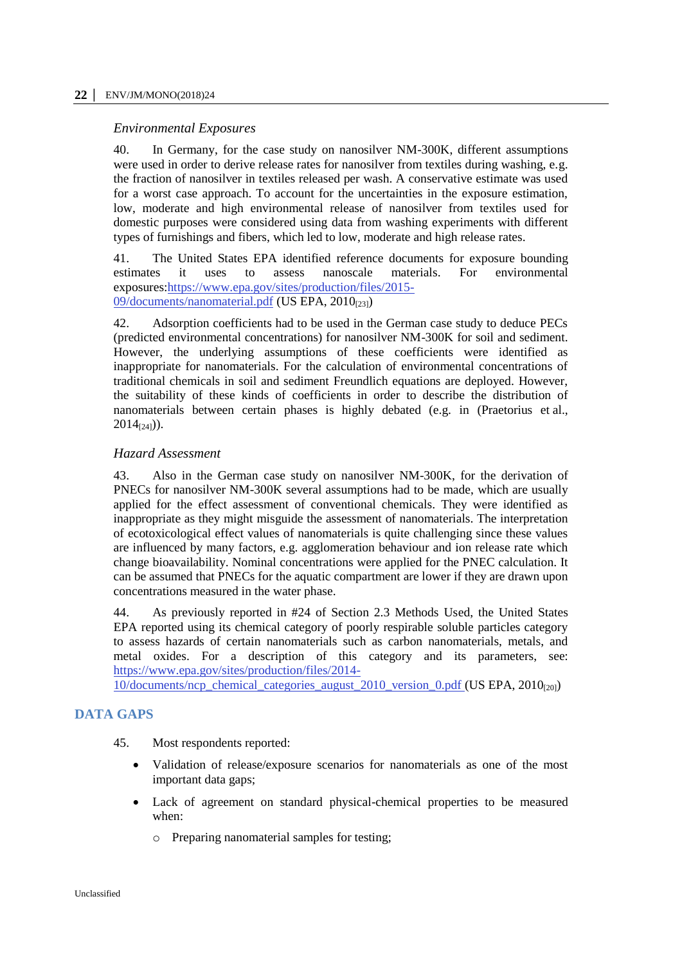#### **22 │** ENV/JM/MONO(2018)24

#### *Environmental Exposures*

40. In Germany, for the case study on nanosilver NM-300K, different assumptions were used in order to derive release rates for nanosilver from textiles during washing, e.g. the fraction of nanosilver in textiles released per wash. A conservative estimate was used for a worst case approach. To account for the uncertainties in the exposure estimation, low, moderate and high environmental release of nanosilver from textiles used for domestic purposes were considered using data from washing experiments with different types of furnishings and fibers, which led to low, moderate and high release rates.

41. The United States EPA identified reference documents for exposure bounding estimates it uses to assess nanoscale materials. For environmental exposures[:https://www.epa.gov/sites/production/files/2015-](https://www.epa.gov/sites/production/files/2015-09/documents/nanomaterial.pdf) [09/documents/nanomaterial.pdf](https://www.epa.gov/sites/production/files/2015-09/documents/nanomaterial.pdf) (US EPA,  $2010_{[23]}$ )

42. Adsorption coefficients had to be used in the German case study to deduce PECs (predicted environmental concentrations) for nanosilver NM-300K for soil and sediment. However, the underlying assumptions of these coefficients were identified as inappropriate for nanomaterials. For the calculation of environmental concentrations of traditional chemicals in soil and sediment Freundlich equations are deployed. However, the suitability of these kinds of coefficients in order to describe the distribution of nanomaterials between certain phases is highly debated (e.g. in (Praetorius et al.,  $2014_{[24]}$ ).

#### *Hazard Assessment*

43. Also in the German case study on nanosilver NM-300K, for the derivation of PNECs for nanosilver NM-300K several assumptions had to be made, which are usually applied for the effect assessment of conventional chemicals. They were identified as inappropriate as they might misguide the assessment of nanomaterials. The interpretation of ecotoxicological effect values of nanomaterials is quite challenging since these values are influenced by many factors, e.g. agglomeration behaviour and ion release rate which change bioavailability. Nominal concentrations were applied for the PNEC calculation. It can be assumed that PNECs for the aquatic compartment are lower if they are drawn upon concentrations measured in the water phase.

44. As previously reported in #24 of Section 2.3 Methods Used, the United States EPA reported using its chemical category of poorly respirable soluble particles category to assess hazards of certain nanomaterials such as carbon nanomaterials, metals, and metal oxides. For a description of this category and its parameters, see: [https://www.epa.gov/sites/production/files/2014-](https://www.epa.gov/sites/production/files/2014-10/documents/ncp_chemical_categories_august_2010_version_0.pdf)

[10/documents/ncp\\_chemical\\_categories\\_august\\_2010\\_version\\_0.pdf](https://www.epa.gov/sites/production/files/2014-10/documents/ncp_chemical_categories_august_2010_version_0.pdf) (US EPA,  $2010_{[20]}$ )

#### <span id="page-21-0"></span>**DATA GAPS**

- 45. Most respondents reported:
	- Validation of release/exposure scenarios for nanomaterials as one of the most important data gaps;
	- Lack of agreement on standard physical-chemical properties to be measured when:
		- o Preparing nanomaterial samples for testing;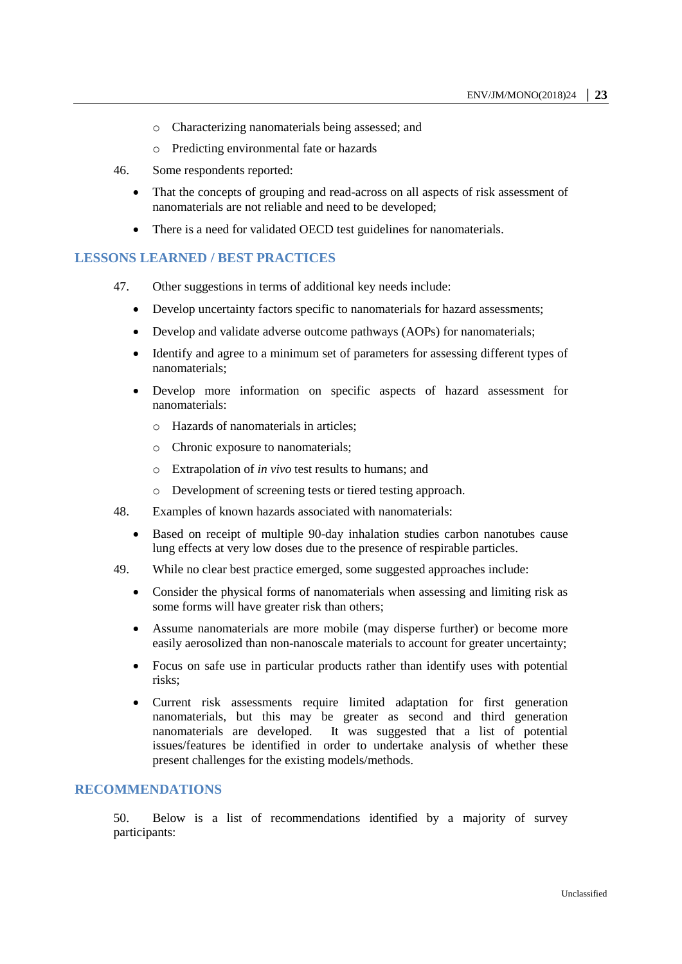- o Characterizing nanomaterials being assessed; and
- o Predicting environmental fate or hazards
- 46. Some respondents reported:
	- That the concepts of grouping and read-across on all aspects of risk assessment of nanomaterials are not reliable and need to be developed;
	- There is a need for validated OECD test guidelines for nanomaterials.

#### <span id="page-22-0"></span>**LESSONS LEARNED / BEST PRACTICES**

- 47. Other suggestions in terms of additional key needs include:
	- Develop uncertainty factors specific to nanomaterials for hazard assessments;
	- Develop and validate adverse outcome pathways (AOPs) for nanomaterials;
	- Identify and agree to a minimum set of parameters for assessing different types of nanomaterials;
	- Develop more information on specific aspects of hazard assessment for nanomaterials:
		- o Hazards of nanomaterials in articles;
		- o Chronic exposure to nanomaterials;
		- o Extrapolation of *in vivo* test results to humans; and
		- o Development of screening tests or tiered testing approach.
- 48. Examples of known hazards associated with nanomaterials:
	- Based on receipt of multiple 90-day inhalation studies carbon nanotubes cause lung effects at very low doses due to the presence of respirable particles.
- 49. While no clear best practice emerged, some suggested approaches include:
	- Consider the physical forms of nanomaterials when assessing and limiting risk as some forms will have greater risk than others;
	- Assume nanomaterials are more mobile (may disperse further) or become more easily aerosolized than non-nanoscale materials to account for greater uncertainty;
	- Focus on safe use in particular products rather than identify uses with potential risks;
	- Current risk assessments require limited adaptation for first generation nanomaterials, but this may be greater as second and third generation nanomaterials are developed. It was suggested that a list of potential issues/features be identified in order to undertake analysis of whether these present challenges for the existing models/methods.

### <span id="page-22-1"></span>**RECOMMENDATIONS**

50. Below is a list of recommendations identified by a majority of survey participants: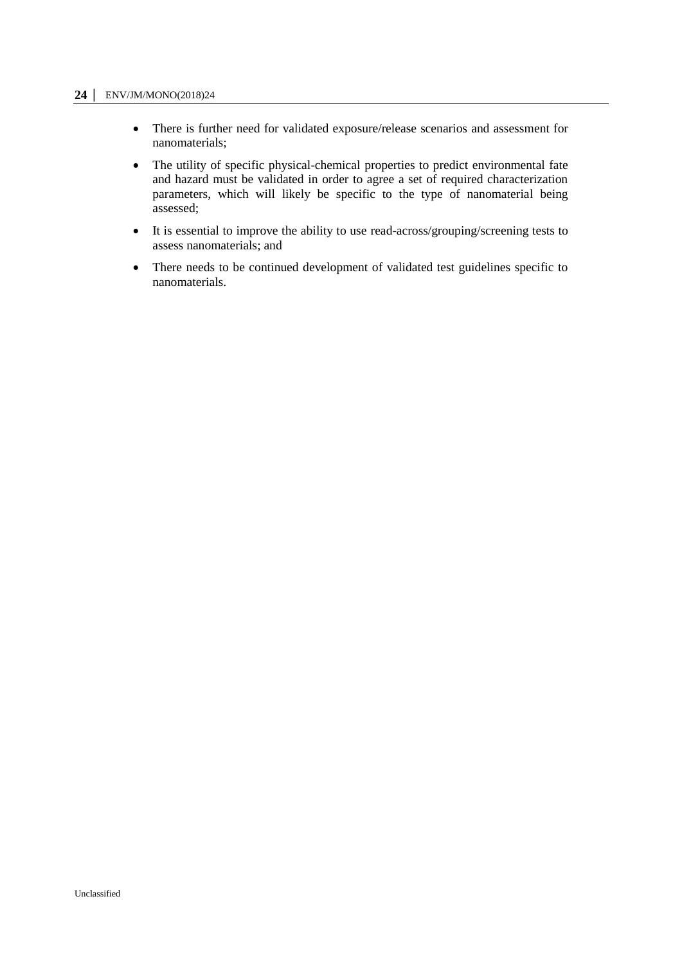- There is further need for validated exposure/release scenarios and assessment for nanomaterials;
- The utility of specific physical-chemical properties to predict environmental fate and hazard must be validated in order to agree a set of required characterization parameters, which will likely be specific to the type of nanomaterial being assessed;
- It is essential to improve the ability to use read-across/grouping/screening tests to assess nanomaterials; and
- There needs to be continued development of validated test guidelines specific to nanomaterials.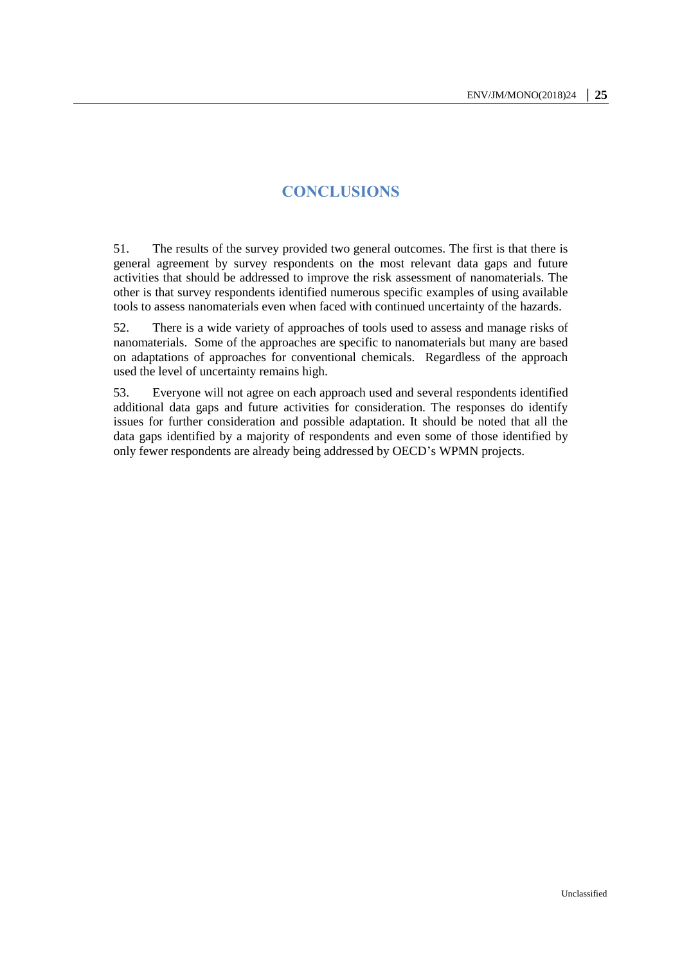## **CONCLUSIONS**

<span id="page-24-0"></span>51. The results of the survey provided two general outcomes. The first is that there is general agreement by survey respondents on the most relevant data gaps and future activities that should be addressed to improve the risk assessment of nanomaterials. The other is that survey respondents identified numerous specific examples of using available tools to assess nanomaterials even when faced with continued uncertainty of the hazards.

52. There is a wide variety of approaches of tools used to assess and manage risks of nanomaterials. Some of the approaches are specific to nanomaterials but many are based on adaptations of approaches for conventional chemicals. Regardless of the approach used the level of uncertainty remains high.

53. Everyone will not agree on each approach used and several respondents identified additional data gaps and future activities for consideration. The responses do identify issues for further consideration and possible adaptation. It should be noted that all the data gaps identified by a majority of respondents and even some of those identified by only fewer respondents are already being addressed by OECD's WPMN projects.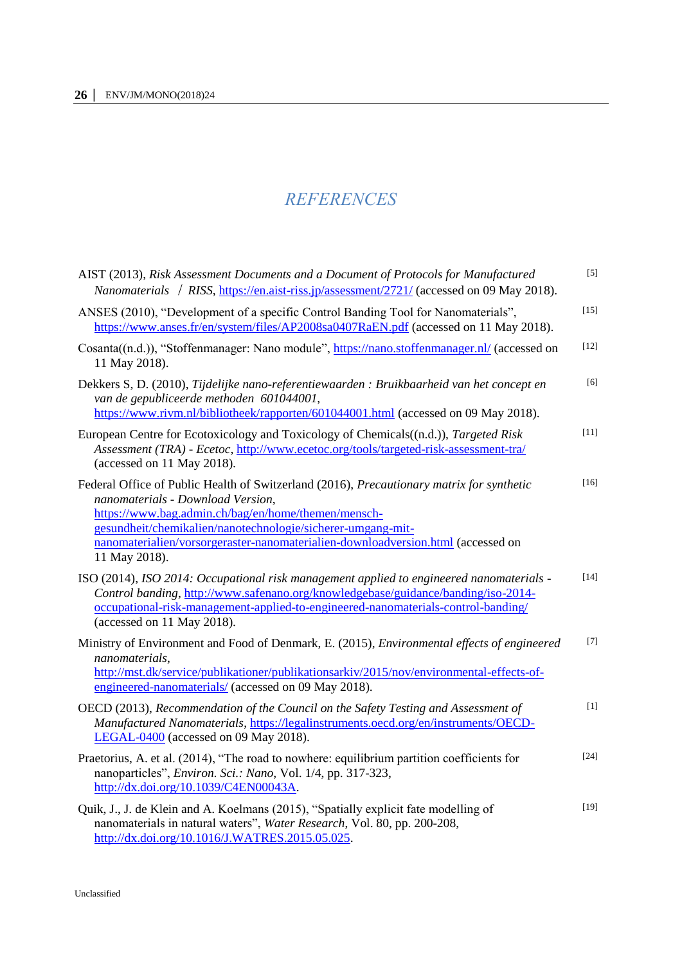# *REFERENCES*

<span id="page-25-0"></span>

| AIST (2013), Risk Assessment Documents and a Document of Protocols for Manufactured<br><i>Nanomaterials / RISS, https://en.aist-riss.jp/assessment/2721/ (accessed on 09 May 2018).</i>                                                                                                                                                                   | $[5] % \begin{center} \includegraphics[width=\linewidth]{imagesSupplemental/Imit} \caption{The image shows the image shows a single number of times.} \label{fig:limal} \end{center}$ |
|-----------------------------------------------------------------------------------------------------------------------------------------------------------------------------------------------------------------------------------------------------------------------------------------------------------------------------------------------------------|---------------------------------------------------------------------------------------------------------------------------------------------------------------------------------------|
| ANSES (2010), "Development of a specific Control Banding Tool for Nanomaterials",<br>https://www.anses.fr/en/system/files/AP2008sa0407RaEN.pdf (accessed on 11 May 2018).                                                                                                                                                                                 | $[15]$                                                                                                                                                                                |
| Cosanta((n.d.)), "Stoffenmanager: Nano module", https://nano.stoffenmanager.nl/ (accessed on<br>11 May 2018).                                                                                                                                                                                                                                             | $[12]$                                                                                                                                                                                |
| Dekkers S, D. (2010), Tijdelijke nano-referentiewaarden : Bruikbaarheid van het concept en<br>van de gepubliceerde methoden 601044001,<br>https://www.rivm.nl/bibliotheek/rapporten/601044001.html (accessed on 09 May 2018).                                                                                                                             | [6]                                                                                                                                                                                   |
| European Centre for Ecotoxicology and Toxicology of Chemicals((n.d.)), Targeted Risk<br>Assessment (TRA) - Ecetoc, http://www.ecetoc.org/tools/targeted-risk-assessment-tra/<br>(accessed on 11 May 2018).                                                                                                                                                | $[11]$                                                                                                                                                                                |
| Federal Office of Public Health of Switzerland (2016), Precautionary matrix for synthetic<br>nanomaterials - Download Version,<br>https://www.bag.admin.ch/bag/en/home/themen/mensch-<br>gesundheit/chemikalien/nanotechnologie/sicherer-umgang-mit-<br>nanomaterialien/vorsorgeraster-nanomaterialien-downloadversion.html (accessed on<br>11 May 2018). | $[16]$                                                                                                                                                                                |
| ISO (2014), ISO 2014: Occupational risk management applied to engineered nanomaterials -<br>Control banding, http://www.safenano.org/knowledgebase/guidance/banding/iso-2014-<br>occupational-risk-management-applied-to-engineered-nanomaterials-control-banding/<br>(accessed on 11 May 2018).                                                          | $[14]$                                                                                                                                                                                |
| Ministry of Environment and Food of Denmark, E. (2015), <i>Environmental effects of engineered</i><br>nanomaterials,<br>http://mst.dk/service/publikationer/publikationsarkiv/2015/nov/environmental-effects-of-<br>engineered-nanomaterials/ (accessed on 09 May 2018).                                                                                  | $[7]$                                                                                                                                                                                 |
| OECD (2013), Recommendation of the Council on the Safety Testing and Assessment of<br>Manufactured Nanomaterials, https://legalinstruments.oecd.org/en/instruments/OECD-<br>LEGAL-0400 (accessed on 09 May 2018).                                                                                                                                         | $[1]$                                                                                                                                                                                 |
| Praetorius, A. et al. (2014), "The road to nowhere: equilibrium partition coefficients for<br>nanoparticles", Environ. Sci.: Nano, Vol. 1/4, pp. 317-323,<br>http://dx.doi.org/10.1039/C4EN00043A.                                                                                                                                                        | $[24]$                                                                                                                                                                                |
| Quik, J., J. de Klein and A. Koelmans (2015), "Spatially explicit fate modelling of<br>nanomaterials in natural waters", Water Research, Vol. 80, pp. 200-208,<br>http://dx.doi.org/10.1016/J.WATRES.2015.05.025.                                                                                                                                         | $[19]$                                                                                                                                                                                |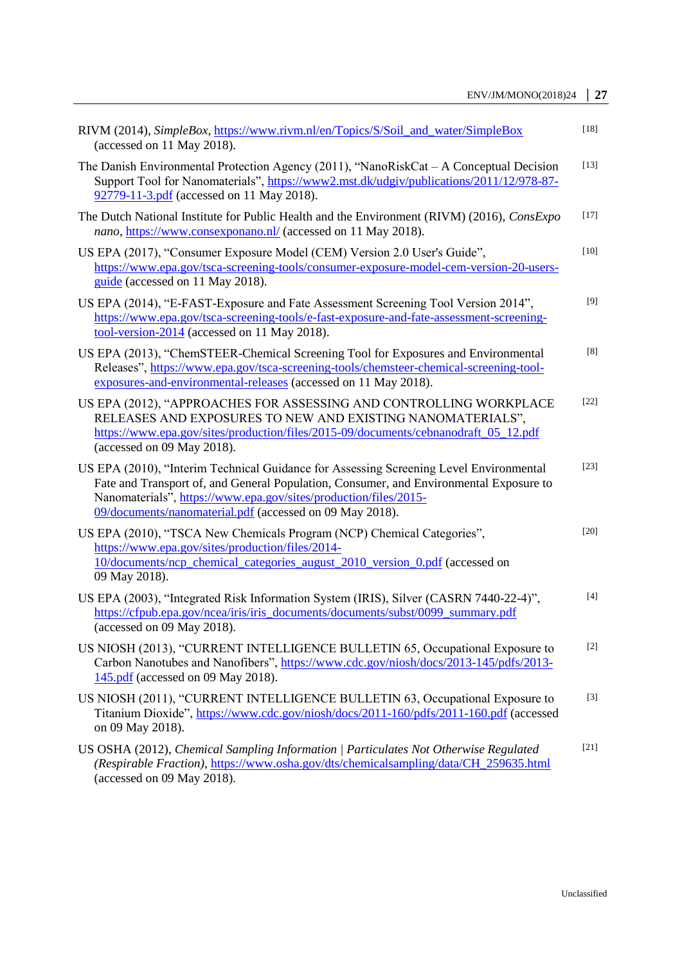| RIVM (2014), SimpleBox, https://www.rivm.nl/en/Topics/S/Soil_and_water/SimpleBox<br>(accessed on 11 May 2018).                                                                                                                                                                                                   | $[18]$ |
|------------------------------------------------------------------------------------------------------------------------------------------------------------------------------------------------------------------------------------------------------------------------------------------------------------------|--------|
| The Danish Environmental Protection Agency (2011), "NanoRiskCat - A Conceptual Decision<br>Support Tool for Nanomaterials", https://www2.mst.dk/udgiv/publications/2011/12/978-87-<br>92779-11-3.pdf (accessed on 11 May 2018).                                                                                  | $[13]$ |
| The Dutch National Institute for Public Health and the Environment (RIVM) (2016), ConsExpo<br>nano, https://www.consexponano.nl/ (accessed on 11 May 2018).                                                                                                                                                      | $[17]$ |
| US EPA (2017), "Consumer Exposure Model (CEM) Version 2.0 User's Guide",<br>https://www.epa.gov/tsca-screening-tools/consumer-exposure-model-cem-version-20-users-<br>guide (accessed on 11 May 2018).                                                                                                           | $[10]$ |
| US EPA (2014), "E-FAST-Exposure and Fate Assessment Screening Tool Version 2014",<br>https://www.epa.gov/tsca-screening-tools/e-fast-exposure-and-fate-assessment-screening-<br>tool-version-2014 (accessed on 11 May 2018).                                                                                     | $[9]$  |
| US EPA (2013), "ChemSTEER-Chemical Screening Tool for Exposures and Environmental<br>Releases", https://www.epa.gov/tsca-screening-tools/chemsteer-chemical-screening-tool-<br>exposures-and-environmental-releases (accessed on 11 May 2018).                                                                   | $[8]$  |
| US EPA (2012), "APPROACHES FOR ASSESSING AND CONTROLLING WORKPLACE<br>RELEASES AND EXPOSURES TO NEW AND EXISTING NANOMATERIALS",<br>https://www.epa.gov/sites/production/files/2015-09/documents/cebnanodraft 05_12.pdf<br>(accessed on 09 May 2018).                                                            | $[22]$ |
| US EPA (2010), "Interim Technical Guidance for Assessing Screening Level Environmental<br>Fate and Transport of, and General Population, Consumer, and Environmental Exposure to<br>Nanomaterials", https://www.epa.gov/sites/production/files/2015-<br>09/documents/nanomaterial.pdf (accessed on 09 May 2018). | $[23]$ |
| US EPA (2010), "TSCA New Chemicals Program (NCP) Chemical Categories",<br>https://www.epa.gov/sites/production/files/2014-<br>10/documents/ncp_chemical_categories_august_2010_version_0.pdf (accessed on<br>09 May 2018).                                                                                       | $[20]$ |
| US EPA (2003), "Integrated Risk Information System (IRIS), Silver (CASRN 7440-22-4)",<br>https://cfpub.epa.gov/ncea/iris/iris_documents/documents/subst/0099_summary.pdf<br>(accessed on 09 May 2018).                                                                                                           | $[4]$  |
| US NIOSH (2013), "CURRENT INTELLIGENCE BULLETIN 65, Occupational Exposure to<br>Carbon Nanotubes and Nanofibers", https://www.cdc.gov/niosh/docs/2013-145/pdfs/2013-<br>$145. \text{pdf}$ (accessed on 09 May 2018).                                                                                             | $[2]$  |
| US NIOSH (2011), "CURRENT INTELLIGENCE BULLETIN 63, Occupational Exposure to<br>Titanium Dioxide", https://www.cdc.gov/niosh/docs/2011-160/pdfs/2011-160.pdf (accessed<br>on 09 May 2018).                                                                                                                       | $[3]$  |
| US OSHA (2012), Chemical Sampling Information   Particulates Not Otherwise Regulated<br>(Respirable Fraction), https://www.osha.gov/dts/chemicalsampling/data/CH_259635.html<br>(accessed on 09 May 2018).                                                                                                       | $[21]$ |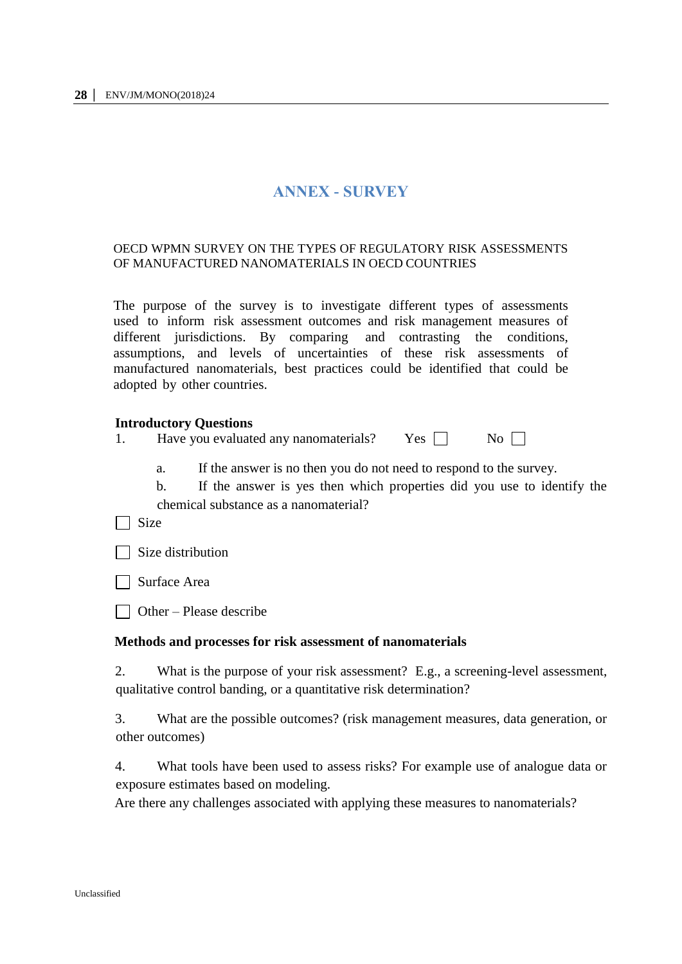# **ANNEX - SURVEY**

#### <span id="page-27-0"></span>OECD WPMN SURVEY ON THE TYPES OF REGULATORY RISK ASSESSMENTS OF MANUFACTURED NANOMATERIALS IN OECD COUNTRIES

The purpose of the survey is to investigate different types of assessments used to inform risk assessment outcomes and risk management measures of different jurisdictions. By comparing and contrasting the conditions, assumptions, and levels of uncertainties of these risk assessments of manufactured nanomaterials, best practices could be identified that could be adopted by other countries.

#### **Introductory Questions**

- 1. Have you evaluated any nanomaterials? Yes  $\Box$  No  $\Box$ 
	- a. If the answer is no then you do not need to respond to the survey.
	- b. If the answer is yes then which properties did you use to identify the chemical substance as a nanomaterial?

**□** Size

 $\Box$  Other – Please describe

#### **Methods and processes for risk assessment of nanomaterials**

2. What is the purpose of your risk assessment? E.g., a screening-level assessment, qualitative control banding, or a quantitative risk determination?

3. What are the possible outcomes? (risk management measures, data generation, or other outcomes)

4. What tools have been used to assess risks? For example use of analogue data or exposure estimates based on modeling.

Are there any challenges associated with applying these measures to nanomaterials?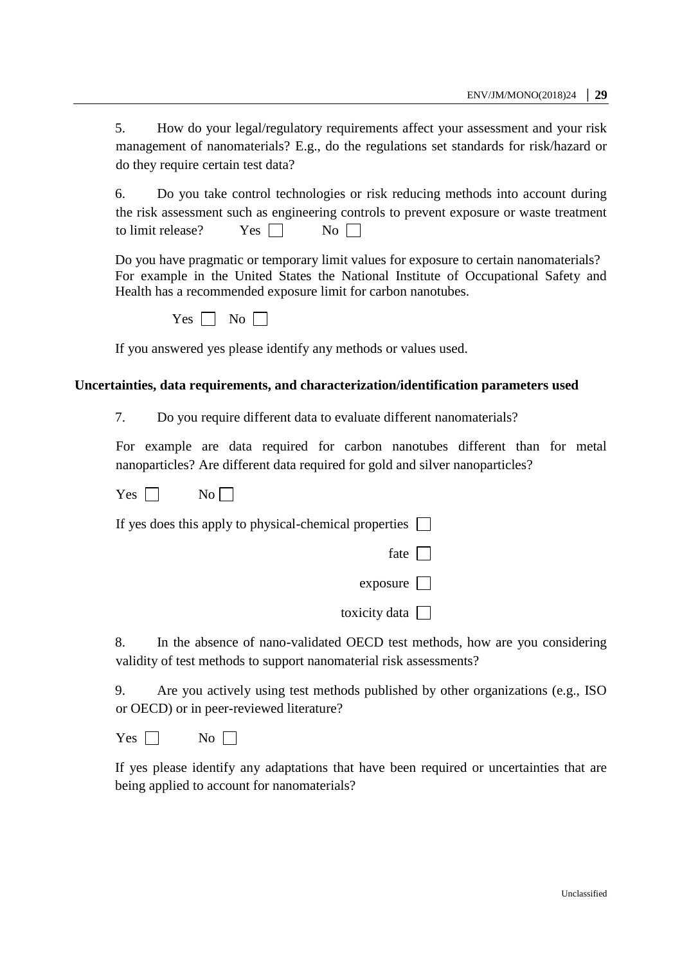5. How do your legal/regulatory requirements affect your assessment and your risk management of nanomaterials? E.g., do the regulations set standards for risk/hazard or do they require certain test data?

6. Do you take control technologies or risk reducing methods into account during the risk assessment such as engineering controls to prevent exposure or waste treatment to limit release?  $Yes \Box$  No  $\Box$ 

Do you have pragmatic or temporary limit values for exposure to certain nanomaterials? For example in the United States the National Institute of Occupational Safety and Health has a recommended exposure limit for carbon nanotubes.

If you answered yes please identify any methods or values used.

#### **Uncertainties, data requirements, and characterization/identification parameters used**

7. Do you require different data to evaluate different nanomaterials?

For example are data required for carbon nanotubes different than for metal nanoparticles? Are different data required for gold and silver nanoparticles?

| $_{ex}$ | NO. |
|---------|-----|
|---------|-----|

| If yes does this apply to physical-chemical properties $\Box$ |  |
|---------------------------------------------------------------|--|
| fate $\vert \vert$                                            |  |
| exposure                                                      |  |
| toxicity data $\vert \vert$                                   |  |

8. In the absence of nano-validated OECD test methods, how are you considering validity of test methods to support nanomaterial risk assessments?

9. Are you actively using test methods published by other organizations (e.g., ISO or OECD) or in peer-reviewed literature?

 $Yes \Box \qquad No \Box$ 

If yes please identify any adaptations that have been required or uncertainties that are being applied to account for nanomaterials?